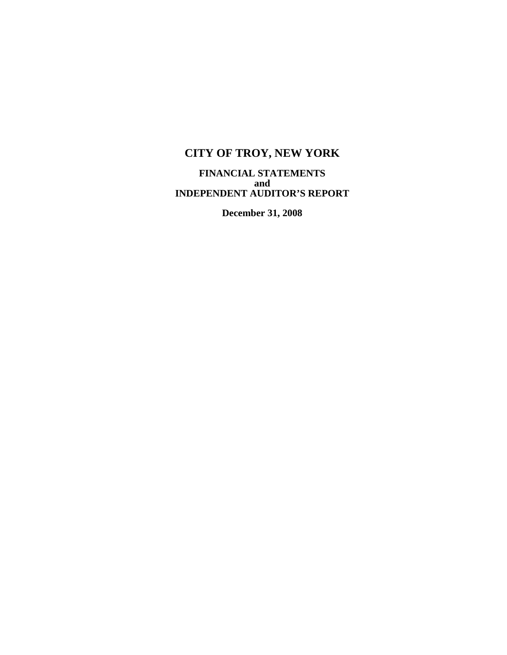**FINANCIAL STATEMENTS and INDEPENDENT AUDITOR'S REPORT** 

**December 31, 2008**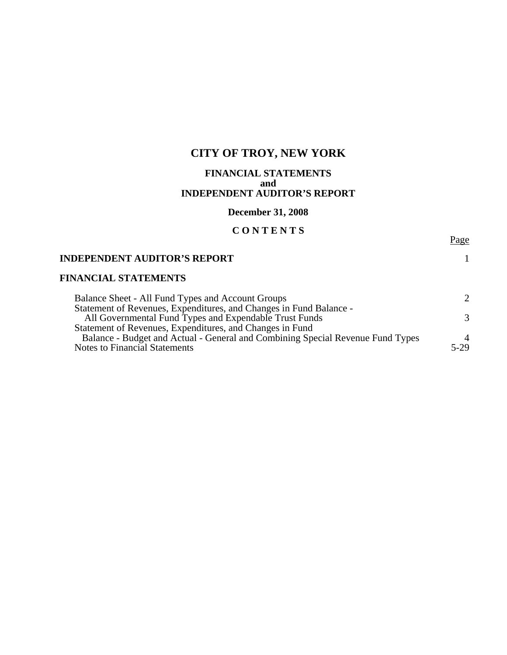#### **FINANCIAL STATEMENTS and INDEPENDENT AUDITOR'S REPORT**

## **December 31, 2008**

### **C O N T E N T S**

Page

#### **INDEPENDENT AUDITOR'S REPORT** 1

### **FINANCIAL STATEMENTS**

| Balance Sheet - All Fund Types and Account Groups                              |                |
|--------------------------------------------------------------------------------|----------------|
| Statement of Revenues, Expenditures, and Changes in Fund Balance -             |                |
| All Governmental Fund Types and Expendable Trust Funds                         | $\mathcal{R}$  |
| Statement of Revenues, Expenditures, and Changes in Fund                       |                |
| Balance - Budget and Actual - General and Combining Special Revenue Fund Types | $\overline{A}$ |
| <b>Notes to Financial Statements</b>                                           | $5-29$         |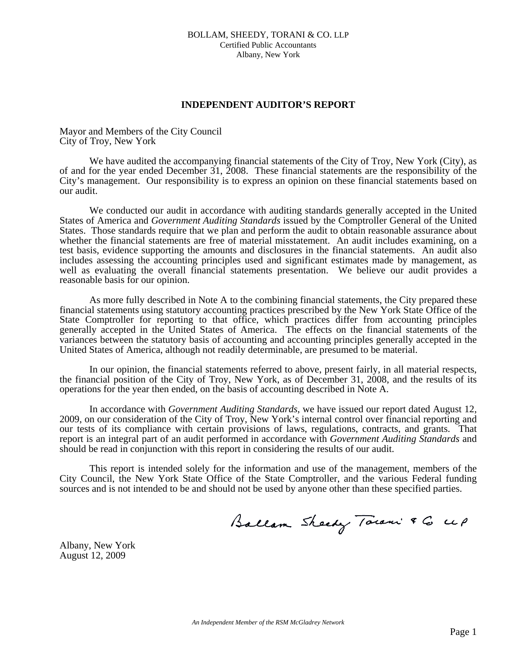#### **INDEPENDENT AUDITOR'S REPORT**

Mayor and Members of the City Council City of Troy, New York

We have audited the accompanying financial statements of the City of Troy, New York (City), as of and for the year ended December 31, 2008. These financial statements are the responsibility of the City's management. Our responsibility is to express an opinion on these financial statements based on our audit.

 We conducted our audit in accordance with auditing standards generally accepted in the United States of America and *Government Auditing Standards* issued by the Comptroller General of the United States. Those standards require that we plan and perform the audit to obtain reasonable assurance about whether the financial statements are free of material misstatement. An audit includes examining, on a test basis, evidence supporting the amounts and disclosures in the financial statements. An audit also includes assessing the accounting principles used and significant estimates made by management, as well as evaluating the overall financial statements presentation. We believe our audit provides a reasonable basis for our opinion.

 As more fully described in Note A to the combining financial statements, the City prepared these financial statements using statutory accounting practices prescribed by the New York State Office of the State Comptroller for reporting to that office, which practices differ from accounting principles generally accepted in the United States of America. The effects on the financial statements of the variances between the statutory basis of accounting and accounting principles generally accepted in the United States of America, although not readily determinable, are presumed to be material.

 In our opinion, the financial statements referred to above, present fairly, in all material respects, the financial position of the City of Troy, New York, as of December 31, 2008, and the results of its operations for the year then ended, on the basis of accounting described in Note A.

 In accordance with *Government Auditing Standards*, we have issued our report dated August 12, 2009, on our consideration of the City of Troy, New York's internal control over financial reporting and our tests of its compliance with certain provisions of laws, regulations, contracts, and grants. That report is an integral part of an audit performed in accordance with *Government Auditing Standards* and should be read in conjunction with this report in considering the results of our audit.

 This report is intended solely for the information and use of the management, members of the City Council, the New York State Office of the State Comptroller, and the various Federal funding sources and is not intended to be and should not be used by anyone other than these specified parties.

Ballam Sheedy Town & G up

Albany, New York August 12, 2009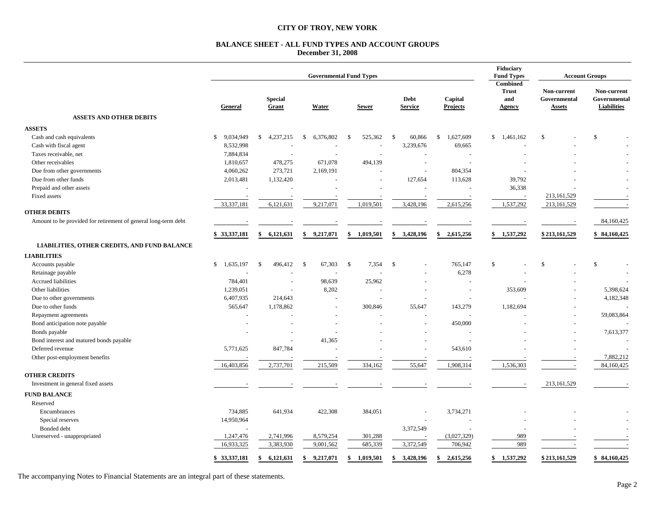#### **BALANCE SHEET - ALL FUND TYPES AND ACCOUNT GROUPS December 31, 2008**

|                                                                |                           |                           |                          | <b>Governmental Fund Types</b> |                          |                            | Fiduciary<br><b>Fund Types</b>                   | <b>Account Groups</b>                        |                                            |  |
|----------------------------------------------------------------|---------------------------|---------------------------|--------------------------|--------------------------------|--------------------------|----------------------------|--------------------------------------------------|----------------------------------------------|--------------------------------------------|--|
|                                                                | General                   | <b>Special</b><br>Grant   | Water                    | <b>Sewer</b>                   | Debt<br><b>Service</b>   | Capital<br><b>Projects</b> | Combined<br><b>Trust</b><br>and<br><b>Agency</b> | Non-current<br>Governmental<br><b>Assets</b> | Non-current<br>Governmental<br>Liabilities |  |
| <b>ASSETS AND OTHER DEBITS</b>                                 |                           |                           |                          |                                |                          |                            |                                                  |                                              |                                            |  |
| <b>ASSETS</b>                                                  |                           |                           |                          |                                |                          |                            |                                                  |                                              |                                            |  |
| Cash and cash equivalents                                      | $\mathbb{S}$<br>9.034.949 | 4,237,215<br>$\mathbb{S}$ | 6,376,802<br>\$          | 525,362<br>- \$                | - \$<br>60,866           | 1,627,609<br>\$            | \$1,461,162                                      | $\mathbb{S}$                                 | <sup>\$</sup>                              |  |
| Cash with fiscal agent                                         | 8,532,998                 |                           |                          |                                | 3,239,676                | 69,665                     |                                                  |                                              | $\sim$                                     |  |
| Taxes receivable, net                                          | 7,884,834                 |                           |                          |                                |                          |                            |                                                  |                                              |                                            |  |
| Other receivables                                              | 1,810,657                 | 478,275                   | 671,078                  | 494,139                        |                          |                            |                                                  |                                              |                                            |  |
| Due from other governments                                     | 4,060,262                 | 273,721                   | 2,169,191                |                                |                          | 804,354                    |                                                  |                                              |                                            |  |
| Due from other funds                                           | 2,013,481                 | 1,132,420                 |                          |                                | 127,654                  | 113,628                    | 39,792                                           |                                              |                                            |  |
| Prepaid and other assets                                       | $\sim$                    | ÷,                        | $\sim$                   |                                |                          | $\overline{\phantom{a}}$   | 36,338                                           |                                              |                                            |  |
| Fixed assets                                                   | ÷.                        |                           |                          |                                |                          |                            |                                                  | 213,161,529                                  |                                            |  |
|                                                                | 33,337,181                | 6,121,631                 | 9,217,071                | 1,019,501                      | 3,428,196                | 2,615,256                  | 1,537,292                                        | 213,161,529                                  |                                            |  |
| <b>OTHER DEBITS</b>                                            |                           |                           |                          |                                |                          |                            |                                                  |                                              |                                            |  |
| Amount to be provided for retirement of general long-term debt |                           |                           |                          |                                |                          |                            |                                                  |                                              | 84,160,425                                 |  |
|                                                                | \$33,337,181              | 6,121,631<br>\$           | 9,217,071<br>\$          | 1,019,501<br>\$                | \$<br>3,428,196          | \$<br>2,615,256            | 1,537,292<br>\$                                  | \$213,161,529                                | \$84,160,425                               |  |
| LIABILITIES, OTHER CREDITS, AND FUND BALANCE                   |                           |                           |                          |                                |                          |                            |                                                  |                                              |                                            |  |
| <b>LIABILITIES</b>                                             |                           |                           |                          |                                |                          |                            |                                                  |                                              |                                            |  |
| Accounts payable                                               | \$1,635,197               | 496,412<br>\$             | 67,303<br>- \$           | 7,354<br>- \$                  | $\mathcal{S}$            | 765,147                    | \$                                               | <sup>\$</sup>                                | $\mathbb{S}$                               |  |
| Retainage payable                                              |                           |                           |                          |                                |                          | 6,278                      |                                                  |                                              |                                            |  |
| Accrued liabilities                                            | 784,401                   |                           | 98,639                   | 25,962                         |                          |                            |                                                  |                                              |                                            |  |
| Other liabilities                                              | 1,239,051                 |                           | 8,202                    |                                |                          | $\sim$                     | 353,609                                          |                                              | 5,398,624                                  |  |
| Due to other governments                                       | 6,407,935                 | 214,643                   | $\overline{\phantom{a}}$ |                                |                          |                            |                                                  |                                              | 4,182,348                                  |  |
| Due to other funds                                             | 565,647                   | 1,178,862                 | $\overline{a}$           | 300,846                        | 55,647                   | 143,279                    | 1,182,694                                        |                                              |                                            |  |
| Repayment agreements                                           |                           |                           |                          |                                |                          |                            |                                                  |                                              | 59,083,864                                 |  |
| Bond anticipation note payable                                 | ÷.                        |                           | $\overline{\phantom{a}}$ |                                | $\overline{\phantom{a}}$ | 450,000                    |                                                  |                                              |                                            |  |
| Bonds payable                                                  |                           |                           |                          |                                |                          |                            |                                                  |                                              | 7,613,377                                  |  |
| Bond interest and matured bonds payable                        |                           |                           | 41,365                   |                                |                          |                            |                                                  |                                              |                                            |  |
| Deferred revenue                                               | 5,771,625                 | 847,784                   |                          |                                |                          | 543,610                    |                                                  |                                              |                                            |  |
| Other post-employment benefits                                 |                           |                           |                          |                                |                          |                            |                                                  |                                              | 7,882,212                                  |  |
|                                                                | 16,403,856                | 2,737,701                 | 215,509                  | 334,162                        | 55,647                   | 1,908,314                  | 1,536,303                                        |                                              | 84,160,425                                 |  |
| <b>OTHER CREDITS</b>                                           |                           |                           |                          |                                |                          |                            |                                                  |                                              |                                            |  |
| Investment in general fixed assets                             |                           |                           |                          |                                |                          |                            |                                                  | 213,161,529                                  |                                            |  |
|                                                                |                           |                           |                          |                                |                          |                            |                                                  |                                              |                                            |  |
| <b>FUND BALANCE</b>                                            |                           |                           |                          |                                |                          |                            |                                                  |                                              |                                            |  |
| Reserved                                                       |                           |                           |                          |                                |                          |                            |                                                  |                                              |                                            |  |
| Encumbrances                                                   | 734,885                   | 641,934                   | 422,308                  | 384,051                        |                          | 3,734,271                  |                                                  |                                              |                                            |  |
| Special reserves                                               | 14,950,964                |                           |                          |                                |                          | ÷,                         |                                                  |                                              |                                            |  |
| Bonded debt                                                    |                           |                           |                          |                                | 3,372,549                |                            |                                                  |                                              |                                            |  |
| Unreserved - unappropriated                                    | 1,247,476                 | 2,741,996                 | 8,579,254                | 301,288                        |                          | (3,027,329)                | 989                                              |                                              |                                            |  |
|                                                                | 16,933,325                | 3,383,930                 | 9,001,562                | 685,339                        | 3,372,549                | 706,942                    | 989                                              |                                              |                                            |  |
|                                                                | \$33,337,181              | \$<br>6,121,631           | 9,217,071<br>\$          | 1,019,501<br>\$                | 3,428,196<br>\$          | 2,615,256<br>\$            | \$1,537,292                                      | \$213,161,529                                | \$84,160,425                               |  |

The accompanying Notes to Financial Statements are an integral part of these statements.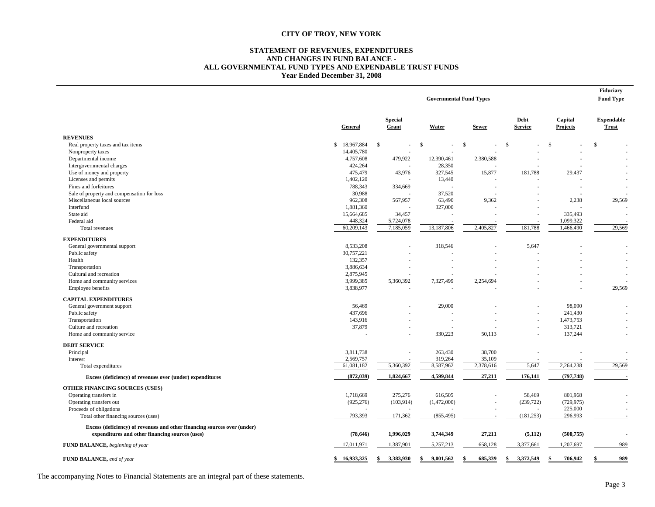#### **STATEMENT OF REVENUES, EXPENDITURES AND CHANGES IN FUND BALANCE - ALL GOVERNMENTAL FUND TYPES AND EXPENDABLE TRUST FUNDS Year Ended December 31, 2008**

|                                                                                                                             | <b>Governmental Fund Types</b> |                         |                        |                |                        |                            | Fiduciary<br><b>Fund Type</b>     |
|-----------------------------------------------------------------------------------------------------------------------------|--------------------------------|-------------------------|------------------------|----------------|------------------------|----------------------------|-----------------------------------|
|                                                                                                                             | General                        | <b>Special</b><br>Grant | Water                  | <b>Sewer</b>   | Debt<br><b>Service</b> | Capital<br><b>Projects</b> | <b>Expendable</b><br><b>Trust</b> |
| <b>REVENUES</b>                                                                                                             |                                |                         |                        |                |                        |                            |                                   |
| Real property taxes and tax items                                                                                           | \$18,967,884                   | \$<br>÷,                | $\mathbb{S}$           | $\mathbb{S}$   | $\mathbf{s}$           | $\mathcal{S}$              | $\mathbf{s}$                      |
| Nonproperty taxes                                                                                                           | 14,405,780                     |                         |                        |                |                        |                            |                                   |
| Departmental income                                                                                                         | 4,757,608                      | 479,922                 | 12,390,461             | 2,380,588      |                        |                            |                                   |
| Intergovernmental charges                                                                                                   | 424,264                        |                         | 28,350                 |                |                        |                            |                                   |
| Use of money and property                                                                                                   | 475,479                        | 43,976                  | 327,545                | 15,877         | 181,788                | 29,437                     |                                   |
| Licenses and permits                                                                                                        | 1,402,120                      |                         | 13,440                 |                |                        |                            |                                   |
| Fines and forfeitures                                                                                                       | 788,343                        | 334,669                 |                        |                |                        |                            |                                   |
| Sale of property and compensation for loss                                                                                  | 30,988                         |                         | 37,520                 |                |                        |                            |                                   |
| Miscellaneous local sources                                                                                                 | 962,308                        | 567,957                 | 63,490                 | 9,362          |                        | 2,238                      | 29,569                            |
| Interfund                                                                                                                   | 1,881,360                      |                         | 327,000                |                |                        |                            |                                   |
| State aid                                                                                                                   | 15,664,685                     | 34,457                  |                        |                |                        | 335,493                    |                                   |
| Federal aid                                                                                                                 | 448,324                        | 5,724,078               |                        |                |                        | 1,099,322                  |                                   |
| Total revenues                                                                                                              | 60,209,143                     | 7,185,059               | 13,187,806             | 2,405,827      | 181,788                | 1,466,490                  | 29,569                            |
| <b>EXPENDITURES</b>                                                                                                         |                                |                         |                        |                |                        |                            |                                   |
| General governmental support                                                                                                | 8,533,208                      |                         | 318,546                |                | 5,647                  |                            |                                   |
| Public safety                                                                                                               | 30,757,221                     |                         |                        |                |                        |                            |                                   |
| Health                                                                                                                      | 132,357                        |                         |                        |                |                        |                            |                                   |
| Transportation                                                                                                              | 3,886,634                      |                         |                        |                |                        |                            |                                   |
| Cultural and recreation                                                                                                     | 2,875,945                      |                         |                        |                |                        |                            |                                   |
| Home and community services                                                                                                 | 3,999,385                      | 5,360,392               | 7,327,499              | 2,254,694      |                        |                            |                                   |
| Employee benefits                                                                                                           | 3,838,977                      |                         |                        |                |                        |                            | 29,569                            |
| <b>CAPITAL EXPENDITURES</b>                                                                                                 |                                |                         |                        |                |                        |                            |                                   |
| General government support                                                                                                  | 56,469                         |                         | 29,000                 |                |                        | 98,090                     |                                   |
| Public safety                                                                                                               | 437,696                        |                         |                        |                |                        | 241,430                    |                                   |
| Transportation                                                                                                              | 143,916                        |                         |                        |                |                        | 1,473,753                  |                                   |
| Culture and recreation                                                                                                      | 37,879                         |                         |                        |                |                        | 313,721                    |                                   |
| Home and community service                                                                                                  |                                | ٠                       | 330,223                | 50,113         |                        | 137,244                    |                                   |
| <b>DEBT SERVICE</b>                                                                                                         |                                |                         |                        |                |                        |                            |                                   |
| Principal                                                                                                                   | 3,811,738                      |                         | 263,430                | 38,700         |                        |                            |                                   |
| Interest                                                                                                                    | 2,569,757                      |                         | 319,264                | 35,109         |                        |                            |                                   |
| Total expenditures                                                                                                          | 61,081,182                     | 5,360,392               | 8,587,962              | 2,378,616      | 5,647                  | 2,264,238                  | 29,569                            |
| Excess (deficiency) of revenues over (under) expenditures                                                                   | (872, 039)                     | 1,824,667               | 4,599,844              | 27,211         | 176,141                | (797, 748)                 |                                   |
|                                                                                                                             |                                |                         |                        |                |                        |                            |                                   |
| OTHER FINANCING SOURCES (USES)                                                                                              |                                |                         |                        |                |                        |                            |                                   |
| Operating transfers in<br>Operating transfers out                                                                           | 1,718,669<br>(925, 276)        | 275,276<br>(103, 914)   | 616,505<br>(1,472,000) |                | 58,469<br>(239, 722)   | 801,968<br>(729, 975)      |                                   |
| Proceeds of obligations                                                                                                     |                                |                         |                        |                |                        | 225,000                    |                                   |
| Total other financing sources (uses)                                                                                        | 793,393                        | 171,362                 | (855, 495)             |                | (181, 253)             | 296,993                    | $\sim$                            |
|                                                                                                                             |                                |                         |                        |                |                        |                            |                                   |
| Excess (deficiency) of revenues and other financing sources over (under)<br>expenditures and other financing sources (uses) | (78, 646)                      | 1,996,029               | 3,744,349              | 27,211         | (5, 112)               | (500, 755)                 |                                   |
| FUND BALANCE, beginning of year                                                                                             | 17,011,971                     | 1,387,901               | 5,257,213              | 658,128        | 3,377,661              | 1,207,697                  | 989                               |
|                                                                                                                             |                                |                         |                        |                |                        |                            |                                   |
| FUND BALANCE, end of year                                                                                                   | \$16.933.325                   | 3.383.930<br>\$         | 9,001,562<br>\$        | 685.339<br>-\$ | 3.372.549<br>\$        | 706.942<br>\$              | 989                               |

The accompanying Notes to Financial Statements are an integral part of these statements.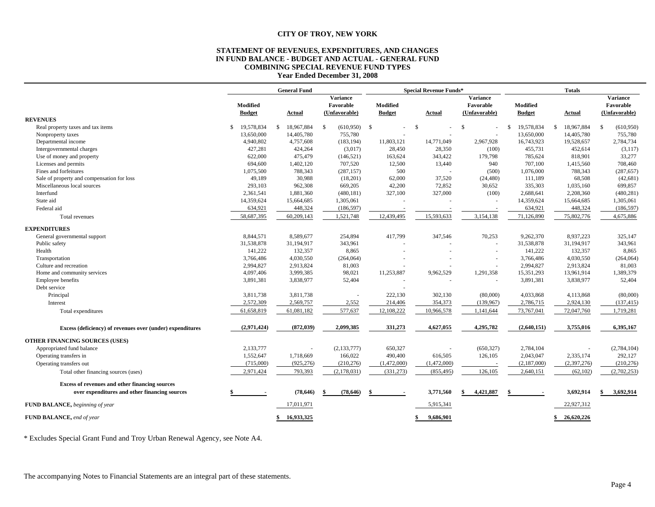#### **STATEMENT OF REVENUES, EXPENDITURES, AND CHANGES IN FUND BALANCE - BUDGET AND ACTUAL - GENERAL FUND COMBINING SPECIAL REVENUE FUND TYPES Year Ended December 31, 2008**

|                                                           | <b>General Fund</b> |               |    | <b>Special Revenue Funds*</b> |                      |               |     | <b>Totals</b> |               |                 |  |               |     |               |    |                 |
|-----------------------------------------------------------|---------------------|---------------|----|-------------------------------|----------------------|---------------|-----|---------------|---------------|-----------------|--|---------------|-----|---------------|----|-----------------|
|                                                           |                     |               |    |                               | <b>Variance</b>      |               |     |               |               | <b>Variance</b> |  |               |     |               |    | <b>Variance</b> |
|                                                           |                     | Modified      |    |                               | Favorable            | Modified      |     |               |               | Favorable       |  | Modified      |     |               |    | Favorable       |
|                                                           |                     | <b>Budget</b> |    | Actual                        | (Unfavorable)        | <b>Budget</b> |     | Actual        |               | (Unfavorable)   |  | <b>Budget</b> |     | Actual        |    | (Unfavorable)   |
| <b>REVENUES</b>                                           |                     |               |    |                               |                      |               |     |               |               |                 |  |               |     |               |    |                 |
| Real property taxes and tax items                         | \$                  | 19,578,834    | -8 | 18,967,884                    | $(610,950)$ \$<br>-S |               | -\$ |               | <sup>\$</sup> |                 |  | 19,578,834    | -\$ | 18,967,884    | S. | (610,950)       |
| Nonproperty taxes                                         |                     | 13,650,000    |    | 14,405,780                    | 755,780              |               |     |               |               |                 |  | 13,650,000    |     | 14,405,780    |    | 755,780         |
| Departmental income                                       |                     | 4,940,802     |    | 4,757,608                     | (183, 194)           | 11,803,121    |     | 14,771,049    |               | 2,967,928       |  | 16,743,923    |     | 19,528,657    |    | 2,784,734       |
| Intergovernmental charges                                 |                     | 427,281       |    | 424,264                       | (3,017)              | 28,450        |     | 28,350        |               | (100)           |  | 455,731       |     | 452,614       |    | (3,117)         |
| Use of money and property                                 |                     | 622,000       |    | 475,479                       | (146, 521)           | 163,624       |     | 343,422       |               | 179,798         |  | 785,624       |     | 818,901       |    | 33,277          |
| Licenses and permits                                      |                     | 694,600       |    | 1,402,120                     | 707,520              | 12,500        |     | 13,440        |               | 940             |  | 707,100       |     | 1,415,560     |    | 708,460         |
| Fines and forfeitures                                     |                     | 1,075,500     |    | 788,343                       | (287, 157)           | 500           |     |               |               | (500)           |  | 1,076,000     |     | 788,343       |    | (287, 657)      |
| Sale of property and compensation for loss                |                     | 49,189        |    | 30,988                        | (18,201)             | 62,000        |     | 37,520        |               | (24, 480)       |  | 111,189       |     | 68,508        |    | (42, 681)       |
| Miscellaneous local sources                               |                     | 293,103       |    | 962,308                       | 669,205              | 42,200        |     | 72,852        |               | 30,652          |  | 335,303       |     | 1,035,160     |    | 699,857         |
| Interfund                                                 |                     | 2,361,541     |    | 1,881,360                     | (480, 181)           | 327,100       |     | 327,000       |               | (100)           |  | 2,688,641     |     | 2,208,360     |    | (480, 281)      |
| State aid                                                 |                     | 14,359,624    |    | 15,664,685                    | 1,305,061            |               |     |               |               |                 |  | 14,359,624    |     | 15,664,685    |    | 1,305,061       |
| Federal aid                                               |                     | 634,921       |    | 448,324                       | (186, 597)           |               |     |               |               |                 |  | 634,921       |     | 448,324       |    | (186, 597)      |
| Total revenues                                            |                     | 58,687,395    |    | 60,209,143                    | 1,521,748            | 12,439,495    |     | 15,593,633    |               | 3,154,138       |  | 71,126,890    |     | 75,802,776    |    | 4,675,886       |
| <b>EXPENDITURES</b>                                       |                     |               |    |                               |                      |               |     |               |               |                 |  |               |     |               |    |                 |
| General governmental support                              |                     | 8,844,571     |    | 8,589,677                     | 254,894              | 417,799       |     | 347,546       |               | 70,253          |  | 9,262,370     |     | 8,937,223     |    | 325,147         |
| Public safety                                             |                     | 31,538,878    |    | 31,194,917                    | 343,961              |               |     |               |               | $\sim$          |  | 31,538,878    |     | 31,194,917    |    | 343,961         |
| Health                                                    |                     | 141,222       |    | 132,357                       | 8,865                |               |     |               |               |                 |  | 141,222       |     | 132,357       |    | 8,865           |
| Transportation                                            |                     | 3,766,486     |    | 4,030,550                     | (264, 064)           |               |     |               |               |                 |  | 3,766,486     |     | 4,030,550     |    | (264, 064)      |
| Culture and recreation                                    |                     | 2,994,827     |    | 2,913,824                     | 81,003               |               |     |               |               |                 |  | 2,994,827     |     | 2,913,824     |    | 81,003          |
| Home and community services                               |                     | 4,097,406     |    | 3,999,385                     | 98,021               | 11,253,887    |     | 9,962,529     |               | 1,291,358       |  | 15,351,293    |     | 13,961,914    |    | 1,389,379       |
| <b>Employee benefits</b>                                  |                     | 3,891,381     |    | 3,838,977                     | 52,404               |               |     |               |               |                 |  | 3,891,381     |     | 3,838,977     |    | 52,404          |
| Debt service                                              |                     |               |    |                               |                      |               |     |               |               |                 |  |               |     |               |    |                 |
| Principal                                                 |                     | 3,811,738     |    | 3,811,738                     |                      | 222,130       |     | 302,130       |               | (80,000)        |  | 4,033,868     |     | 4,113,868     |    | (80,000)        |
| Interest                                                  |                     | 2,572,309     |    | 2,569,757                     | 2,552                | 214,406       |     | 354,373       |               | (139, 967)      |  | 2,786,715     |     | 2,924,130     |    | (137, 415)      |
| Total expenditures                                        |                     | 61,658,819    |    | 61,081,182                    | 577,637              | 12,108,222    |     | 10,966,578    |               | 1,141,644       |  | 73,767,041    |     | 72,047,760    |    | 1,719,281       |
|                                                           |                     |               |    |                               |                      |               |     |               |               |                 |  |               |     |               |    |                 |
| Excess (deficiency) of revenues over (under) expenditures |                     | (2,971,424)   |    | (872, 039)                    | 2,099,385            | 331,273       |     | 4,627,055     |               | 4,295,782       |  | (2,640,151)   |     | 3,755,016     |    | 6,395,167       |
| OTHER FINANCING SOURCES (USES)                            |                     |               |    |                               |                      |               |     |               |               |                 |  |               |     |               |    |                 |
| Appropriated fund balance                                 |                     | 2,133,777     |    |                               | (2, 133, 777)        | 650,327       |     |               |               | (650, 327)      |  | 2,784,104     |     |               |    | (2,784,104)     |
| Operating transfers in                                    |                     | 1,552,647     |    | 1,718,669                     | 166,022              | 490,400       |     | 616,505       |               | 126,105         |  | 2,043,047     |     | 2,335,174     |    | 292,127         |
| Operating transfers out                                   |                     | (715,000)     |    | (925, 276)                    | (210, 276)           | (1,472,000)   |     | (1,472,000)   |               |                 |  | (2,187,000)   |     | (2, 397, 276) |    | (210, 276)      |
| Total other financing sources (uses)                      |                     | 2,971,424     |    | 793,393                       | (2,178,031)          | (331, 273)    |     | (855, 495)    |               | 126,105         |  | 2,640,151     |     | (62, 102)     |    | (2,702,253)     |
| Excess of revenues and other financing sources            |                     |               |    |                               |                      |               |     |               |               |                 |  |               |     |               |    |                 |
| over expenditures and other financing sources             |                     |               |    | (78, 646)                     | (78, 646)<br>-\$     |               |     | 3,771,560     | \$            | 4,421,887       |  |               |     | 3,692,914     | \$ | 3,692,914       |
| FUND BALANCE, beginning of year                           |                     |               |    | 17,011,971                    |                      |               |     | 5,915,341     |               |                 |  |               |     | 22,927,312    |    |                 |
| FUND BALANCE, end of year                                 |                     |               |    | 16,933,325                    |                      |               |     | 9,686,901     |               |                 |  |               | \$. | 26,620,226    |    |                 |

\* Excludes Special Grant Fund and Troy Urban Renewal Agency, see Note A4.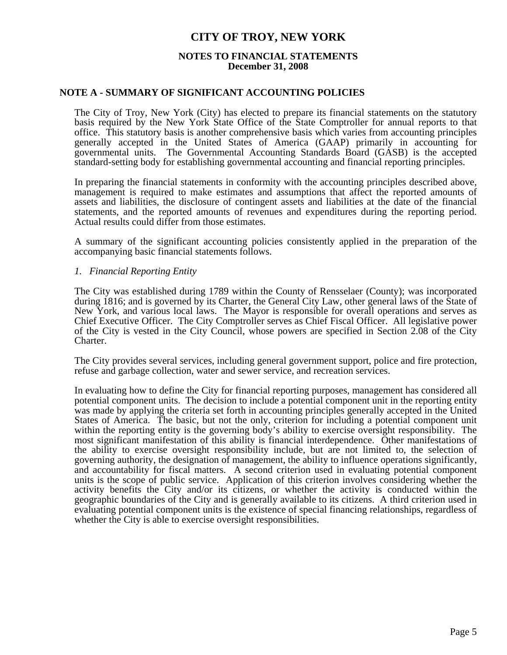#### **NOTES TO FINANCIAL STATEMENTS December 31, 2008**

#### **NOTE A - SUMMARY OF SIGNIFICANT ACCOUNTING POLICIES**

 The City of Troy, New York (City) has elected to prepare its financial statements on the statutory basis required by the New York State Office of the State Comptroller for annual reports to that office. This statutory basis is another comprehensive basis which varies from accounting principles generally accepted in the United States of America (GAAP) primarily in accounting for governmental units. The Governmental Accounting Standards Board (GASB) is the accepted standard-setting body for establishing governmental accounting and financial reporting principles.

 In preparing the financial statements in conformity with the accounting principles described above, management is required to make estimates and assumptions that affect the reported amounts of assets and liabilities, the disclosure of contingent assets and liabilities at the date of the financial statements, and the reported amounts of revenues and expenditures during the reporting period. Actual results could differ from those estimates.

 A summary of the significant accounting policies consistently applied in the preparation of the accompanying basic financial statements follows.

#### *1. Financial Reporting Entity*

 The City was established during 1789 within the County of Rensselaer (County); was incorporated during 1816; and is governed by its Charter, the General City Law, other general laws of the State of New York, and various local laws. The Mayor is responsible for overall operations and serves as Chief Executive Officer. The City Comptroller serves as Chief Fiscal Officer. All legislative power of the City is vested in the City Council, whose powers are specified in Section 2.08 of the City Charter.

 The City provides several services, including general government support, police and fire protection, refuse and garbage collection, water and sewer service, and recreation services.

 In evaluating how to define the City for financial reporting purposes, management has considered all potential component units. The decision to include a potential component unit in the reporting entity was made by applying the criteria set forth in accounting principles generally accepted in the United States of America. The basic, but not the only, criterion for including a potential component unit within the reporting entity is the governing body's ability to exercise oversight responsibility. The most significant manifestation of this ability is financial interdependence. Other manifestations of the ability to exercise oversight responsibility include, but are not limited to, the selection of governing authority, the designation of management, the ability to influence operations significantly, and accountability for fiscal matters. A second criterion used in evaluating potential component units is the scope of public service. Application of this criterion involves considering whether the activity benefits the City and/or its citizens, or whether the activity is conducted within the geographic boundaries of the City and is generally available to its citizens. A third criterion used in evaluating potential component units is the existence of special financing relationships, regardless of whether the City is able to exercise oversight responsibilities.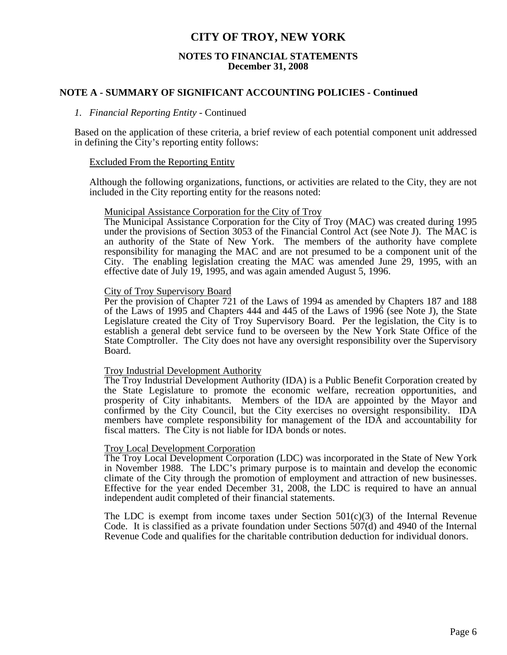#### **NOTES TO FINANCIAL STATEMENTS December 31, 2008**

#### **NOTE A - SUMMARY OF SIGNIFICANT ACCOUNTING POLICIES - Continued**

#### *1. Financial Reporting Entity* - Continued

 Based on the application of these criteria, a brief review of each potential component unit addressed in defining the City's reporting entity follows:

#### Excluded From the Reporting Entity

 Although the following organizations, functions, or activities are related to the City, they are not included in the City reporting entity for the reasons noted:

#### Municipal Assistance Corporation for the City of Troy

 The Municipal Assistance Corporation for the City of Troy (MAC) was created during 1995 under the provisions of Section 3053 of the Financial Control Act (see Note J). The MAC is an authority of the State of New York. The members of the authority have complete responsibility for managing the MAC and are not presumed to be a component unit of the City. The enabling legislation creating the MAC was amended June 29, 1995, with an effective date of July 19, 1995, and was again amended August 5, 1996.

#### City of Troy Supervisory Board

 Per the provision of Chapter 721 of the Laws of 1994 as amended by Chapters 187 and 188 of the Laws of 1995 and Chapters 444 and 445 of the Laws of 1996 (see Note J), the State Legislature created the City of Troy Supervisory Board. Per the legislation, the City is to establish a general debt service fund to be overseen by the New York State Office of the State Comptroller. The City does not have any oversight responsibility over the Supervisory Board.

#### Troy Industrial Development Authority

 The Troy Industrial Development Authority (IDA) is a Public Benefit Corporation created by the State Legislature to promote the economic welfare, recreation opportunities, and prosperity of City inhabitants. Members of the IDA are appointed by the Mayor and confirmed by the City Council, but the City exercises no oversight responsibility. IDA members have complete responsibility for management of the IDA and accountability for fiscal matters. The City is not liable for IDA bonds or notes.

#### Troy Local Development Corporation

 The Troy Local Development Corporation (LDC) was incorporated in the State of New York in November 1988. The LDC's primary purpose is to maintain and develop the economic climate of the City through the promotion of employment and attraction of new businesses. Effective for the year ended December 31, 2008, the LDC is required to have an annual independent audit completed of their financial statements.

The LDC is exempt from income taxes under Section  $501(c)(3)$  of the Internal Revenue Code. It is classified as a private foundation under Sections 507(d) and 4940 of the Internal Revenue Code and qualifies for the charitable contribution deduction for individual donors.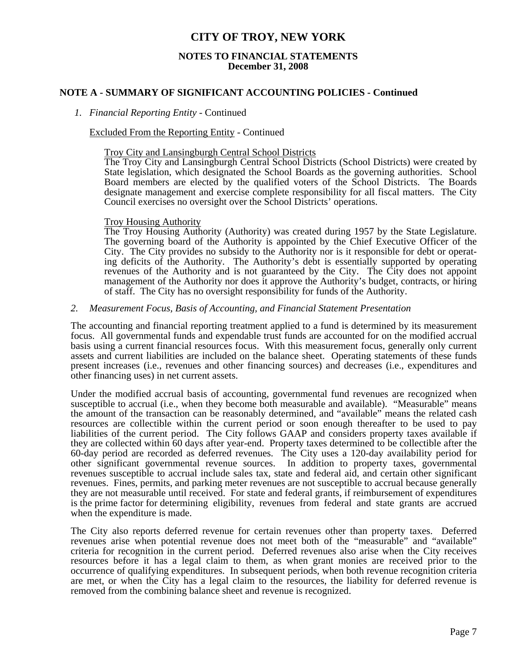#### **NOTES TO FINANCIAL STATEMENTS December 31, 2008**

### **NOTE A - SUMMARY OF SIGNIFICANT ACCOUNTING POLICIES - Continued**

#### *1. Financial Reporting Entity* - Continued

#### Excluded From the Reporting Entity - Continued

Troy City and Lansingburgh Central School Districts

 The Troy City and Lansingburgh Central School Districts (School Districts) were created by State legislation, which designated the School Boards as the governing authorities. School Board members are elected by the qualified voters of the School Districts. The Boards designate management and exercise complete responsibility for all fiscal matters. The City Council exercises no oversight over the School Districts' operations.

#### Troy Housing Authority

 The Troy Housing Authority (Authority) was created during 1957 by the State Legislature. The governing board of the Authority is appointed by the Chief Executive Officer of the City. The City provides no subsidy to the Authority nor is it responsible for debt or operating deficits of the Authority. The Authority's debt is essentially supported by operating revenues of the Authority and is not guaranteed by the City. The City does not appoint management of the Authority nor does it approve the Authority's budget, contracts, or hiring of staff. The City has no oversight responsibility for funds of the Authority.

#### *2. Measurement Focus, Basis of Accounting, and Financial Statement Presentation*

 The accounting and financial reporting treatment applied to a fund is determined by its measurement focus. All governmental funds and expendable trust funds are accounted for on the modified accrual basis using a current financial resources focus. With this measurement focus, generally only current assets and current liabilities are included on the balance sheet. Operating statements of these funds present increases (i.e., revenues and other financing sources) and decreases (i.e., expenditures and

other financing uses) in net current assets. Under the modified accrual basis of accounting, governmental fund revenues are recognized when susceptible to accrual (i.e., when they become both measurable and available). "Measurable" means the amount of the transaction can be reasonably determined, and "available" means the related cash resources are collectible within the current period or soon enough thereafter to be used to pay liabilities of the current period. The City follows GAAP and considers property taxes available if they are collected within 60 days after year-end. Property taxes determined to be collectible after the 60-day period are recorded as deferred revenues. The City uses a 120-day availability period for other significant governmental revenue sources. In addition to property taxes, governmental revenues susceptible to accrual include sales tax, state and federal aid, and certain other significant revenues. Fines, permits, and parking meter revenues are not susceptible to accrual because generally they are not measurable until received. For state and federal grants, if reimbursement of expenditures is the prime factor for determining eligibility, revenues from federal and state grants are accrued when the expenditure is made.

 The City also reports deferred revenue for certain revenues other than property taxes. Deferred revenues arise when potential revenue does not meet both of the "measurable" and "available" criteria for recognition in the current period. Deferred revenues also arise when the City receives resources before it has a legal claim to them, as when grant monies are received prior to the occurrence of qualifying expenditures. In subsequent periods, when both revenue recognition criteria are met, or when the City has a legal claim to the resources, the liability for deferred revenue is removed from the combining balance sheet and revenue is recognized.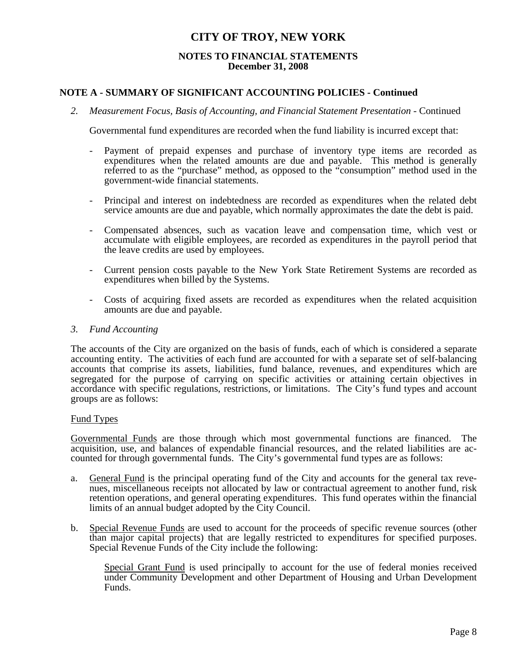### **NOTES TO FINANCIAL STATEMENTS December 31, 2008**

### **NOTE A - SUMMARY OF SIGNIFICANT ACCOUNTING POLICIES - Continued**

 *2. Measurement Focus, Basis of Accounting, and Financial Statement Presentation* - Continued

Governmental fund expenditures are recorded when the fund liability is incurred except that:

- Payment of prepaid expenses and purchase of inventory type items are recorded as expenditures when the related amounts are due and payable. This method is generally referred to as the "purchase" method, as opposed to the "consumption" method used in the government-wide financial statements.
- Principal and interest on indebtedness are recorded as expenditures when the related debt service amounts are due and payable, which normally approximates the date the debt is paid.
- Compensated absences, such as vacation leave and compensation time, which vest or accumulate with eligible employees, are recorded as expenditures in the payroll period that the leave credits are used by employees.
- Current pension costs payable to the New York State Retirement Systems are recorded as expenditures when billed by the Systems.
- Costs of acquiring fixed assets are recorded as expenditures when the related acquisition amounts are due and payable.

#### *3. Fund Accounting*

 The accounts of the City are organized on the basis of funds, each of which is considered a separate accounting entity. The activities of each fund are accounted for with a separate set of self-balancing accounts that comprise its assets, liabilities, fund balance, revenues, and expenditures which are segregated for the purpose of carrying on specific activities or attaining certain objectives in accordance with specific regulations, restrictions, or limitations. The City's fund types and account groups are as follows:

#### Fund Types

 Governmental Funds are those through which most governmental functions are financed. The acquisition, use, and balances of expendable financial resources, and the related liabilities are accounted for through governmental funds. The City's governmental fund types are as follows:

- a. General Fund is the principal operating fund of the City and accounts for the general tax revenues, miscellaneous receipts not allocated by law or contractual agreement to another fund, risk retention operations, and general operating expenditures. This fund operates within the financial limits of an annual budget adopted by the City Council.
- b. Special Revenue Funds are used to account for the proceeds of specific revenue sources (other than major capital projects) that are legally restricted to expenditures for specified purposes. Special Revenue Funds of the City include the following:

 Special Grant Fund is used principally to account for the use of federal monies received under Community Development and other Department of Housing and Urban Development Funds.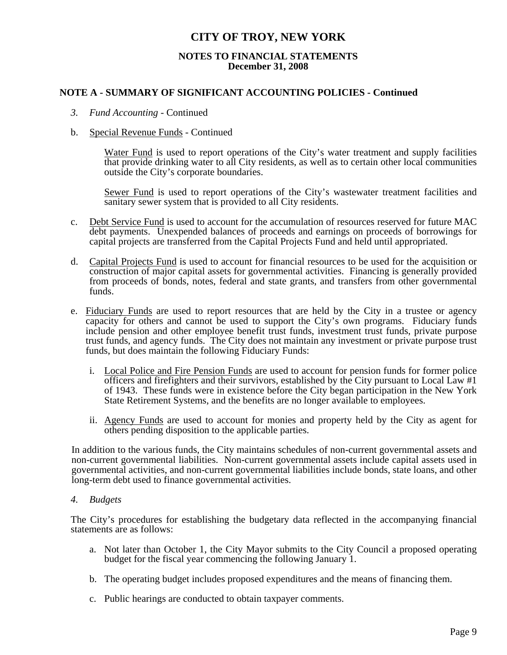### **NOTES TO FINANCIAL STATEMENTS December 31, 2008**

### **NOTE A - SUMMARY OF SIGNIFICANT ACCOUNTING POLICIES - Continued**

*3. Fund Accounting* - Continued

#### b. Special Revenue Funds - Continued

 Water Fund is used to report operations of the City's water treatment and supply facilities that provide drinking water to all City residents, as well as to certain other local communities outside the City's corporate boundaries.

Sewer Fund is used to report operations of the City's wastewater treatment facilities and sanitary sewer system that is provided to all City residents.

- c. Debt Service Fund is used to account for the accumulation of resources reserved for future MAC debt payments. Unexpended balances of proceeds and earnings on proceeds of borrowings for capital projects are transferred from the Capital Projects Fund and held until appropriated.
- d. Capital Projects Fund is used to account for financial resources to be used for the acquisition or construction of major capital assets for governmental activities. Financing is generally provided from proceeds of bonds, notes, federal and state grants, and transfers from other governmental funds.
- e. Fiduciary Funds are used to report resources that are held by the City in a trustee or agency capacity for others and cannot be used to support the City's own programs. Fiduciary funds include pension and other employee benefit trust funds, investment trust funds, private purpose trust funds, and agency funds. The City does not maintain any investment or private purpose trust funds, but does maintain the following Fiduciary Funds:
	- i. Local Police and Fire Pension Funds are used to account for pension funds for former police officers and firefighters and their survivors, established by the City pursuant to Local Law #1 of 1943. These funds were in existence before the City began participation in the New York State Retirement Systems, and the benefits are no longer available to employees.
	- ii. Agency Funds are used to account for monies and property held by the City as agent for others pending disposition to the applicable parties.

 In addition to the various funds, the City maintains schedules of non-current governmental assets and non-current governmental liabilities. Non-current governmental assets include capital assets used in governmental activities, and non-current governmental liabilities include bonds, state loans, and other long-term debt used to finance governmental activities.

#### *4. Budgets*

 The City's procedures for establishing the budgetary data reflected in the accompanying financial statements are as follows:

- a. Not later than October 1, the City Mayor submits to the City Council a proposed operating budget for the fiscal year commencing the following January 1.
- b. The operating budget includes proposed expenditures and the means of financing them.
- c. Public hearings are conducted to obtain taxpayer comments.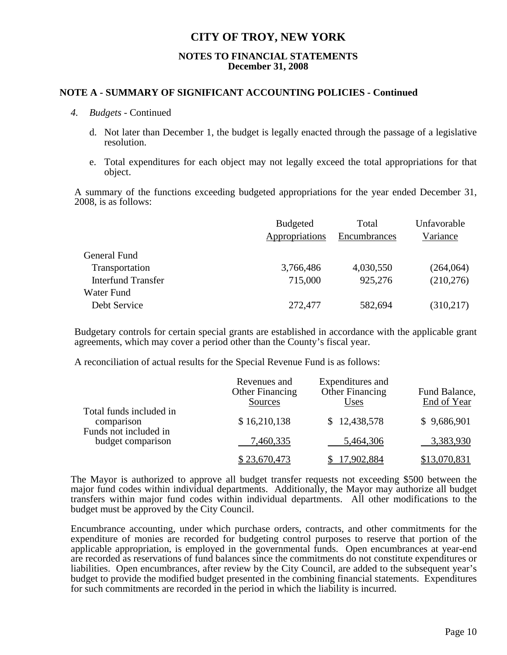#### **NOTES TO FINANCIAL STATEMENTS December 31, 2008**

#### **NOTE A - SUMMARY OF SIGNIFICANT ACCOUNTING POLICIES - Continued**

#### *4. Budgets* - Continued

- d. Not later than December 1, the budget is legally enacted through the passage of a legislative resolution.
- e. Total expenditures for each object may not legally exceed the total appropriations for that object.

 A summary of the functions exceeding budgeted appropriations for the year ended December 31, 2008, is as follows:

|                           | <b>Budgeted</b> | Total        | Unfavorable |
|---------------------------|-----------------|--------------|-------------|
|                           | Appropriations  | Encumbrances | Variance    |
| General Fund              |                 |              |             |
| Transportation            | 3,766,486       | 4,030,550    | (264, 064)  |
| <b>Interfund Transfer</b> | 715,000         | 925,276      | (210, 276)  |
| Water Fund                |                 |              |             |
| Debt Service              | 272,477         | 582,694      | (310,217)   |

Budgetary controls for certain special grants are established in accordance with the applicable grant agreements, which may cover a period other than the County's fiscal year.

A reconciliation of actual results for the Special Revenue Fund is as follows:

|                                                                | Revenues and<br><b>Other Financing</b><br>Sources | Expenditures and<br><b>Other Financing</b><br>Uses | Fund Balance,<br>End of Year |
|----------------------------------------------------------------|---------------------------------------------------|----------------------------------------------------|------------------------------|
| Total funds included in<br>comparison<br>Funds not included in | \$16,210,138                                      | \$12,438,578                                       | \$9,686,901                  |
| budget comparison                                              | 7,460,335                                         | 5,464,306                                          | 3,383,930                    |
|                                                                | \$23,670,473                                      | 17,902,884                                         | \$13,070,831                 |

 The Mayor is authorized to approve all budget transfer requests not exceeding \$500 between the major fund codes within individual departments. Additionally, the Mayor may authorize all budget transfers within major fund codes within individual departments. All other modifications to the budget must be approved by the City Council.

 Encumbrance accounting, under which purchase orders, contracts, and other commitments for the expenditure of monies are recorded for budgeting control purposes to reserve that portion of the applicable appropriation, is employed in the governmental funds. Open encumbrances at year-end are recorded as reservations of fund balances since the commitments do not constitute expenditures or liabilities. Open encumbrances, after review by the City Council, are added to the subsequent year's budget to provide the modified budget presented in the combining financial statements. Expenditures for such commitments are recorded in the period in which the liability is incurred.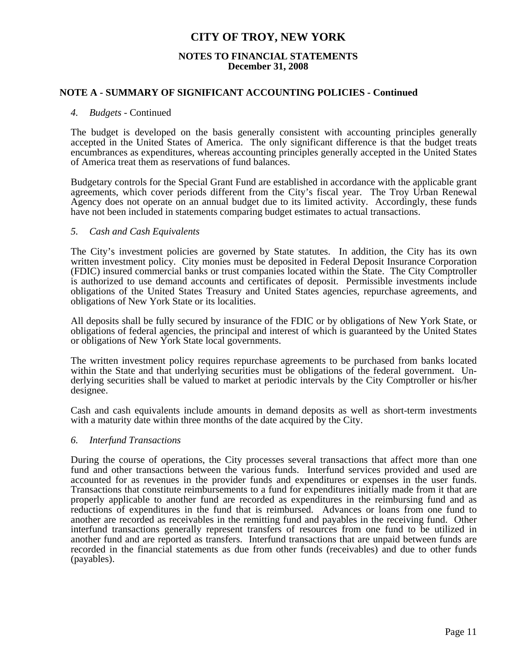#### **NOTES TO FINANCIAL STATEMENTS December 31, 2008**

#### **NOTE A - SUMMARY OF SIGNIFICANT ACCOUNTING POLICIES - Continued**

#### *4. Budgets* - Continued

 The budget is developed on the basis generally consistent with accounting principles generally accepted in the United States of America. The only significant difference is that the budget treats encumbrances as expenditures, whereas accounting principles generally accepted in the United States of America treat them as reservations of fund balances.

 Budgetary controls for the Special Grant Fund are established in accordance with the applicable grant agreements, which cover periods different from the City's fiscal year. The Troy Urban Renewal Agency does not operate on an annual budget due to its limited activity. Accordingly, these funds have not been included in statements comparing budget estimates to actual transactions.

#### *5. Cash and Cash Equivalents*

 The City's investment policies are governed by State statutes. In addition, the City has its own written investment policy. City monies must be deposited in Federal Deposit Insurance Corporation (FDIC) insured commercial banks or trust companies located within the State. The City Comptroller is authorized to use demand accounts and certificates of deposit. Permissible investments include obligations of the United States Treasury and United States agencies, repurchase agreements, and obligations of New York State or its localities.

 All deposits shall be fully secured by insurance of the FDIC or by obligations of New York State, or obligations of federal agencies, the principal and interest of which is guaranteed by the United States or obligations of New York State local governments.

 The written investment policy requires repurchase agreements to be purchased from banks located within the State and that underlying securities must be obligations of the federal government. Underlying securities shall be valued to market at periodic intervals by the City Comptroller or his/her designee.

 Cash and cash equivalents include amounts in demand deposits as well as short-term investments with a maturity date within three months of the date acquired by the City.

#### *6. Interfund Transactions*

 During the course of operations, the City processes several transactions that affect more than one fund and other transactions between the various funds. Interfund services provided and used are accounted for as revenues in the provider funds and expenditures or expenses in the user funds. Transactions that constitute reimbursements to a fund for expenditures initially made from it that are properly applicable to another fund are recorded as expenditures in the reimbursing fund and as reductions of expenditures in the fund that is reimbursed. Advances or loans from one fund to another are recorded as receivables in the remitting fund and payables in the receiving fund. Other interfund transactions generally represent transfers of resources from one fund to be utilized in another fund and are reported as transfers. Interfund transactions that are unpaid between funds are recorded in the financial statements as due from other funds (receivables) and due to other funds (payables).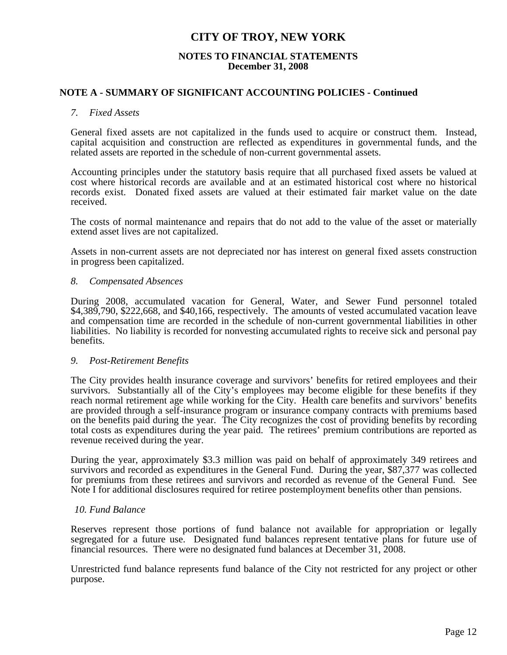#### **NOTES TO FINANCIAL STATEMENTS December 31, 2008**

#### **NOTE A - SUMMARY OF SIGNIFICANT ACCOUNTING POLICIES - Continued**

#### *7. Fixed Assets*

 General fixed assets are not capitalized in the funds used to acquire or construct them. Instead, capital acquisition and construction are reflected as expenditures in governmental funds, and the related assets are reported in the schedule of non-current governmental assets.

 Accounting principles under the statutory basis require that all purchased fixed assets be valued at cost where historical records are available and at an estimated historical cost where no historical records exist. Donated fixed assets are valued at their estimated fair market value on the date received.

 The costs of normal maintenance and repairs that do not add to the value of the asset or materially extend asset lives are not capitalized.

 Assets in non-current assets are not depreciated nor has interest on general fixed assets construction in progress been capitalized.

#### *8. Compensated Absences*

 During 2008, accumulated vacation for General, Water, and Sewer Fund personnel totaled \$4,389,790, \$222,668, and \$40,166, respectively. The amounts of vested accumulated vacation leave and compensation time are recorded in the schedule of non-current governmental liabilities in other liabilities. No liability is recorded for nonvesting accumulated rights to receive sick and personal pay benefits.

#### *9. Post-Retirement Benefits*

 The City provides health insurance coverage and survivors' benefits for retired employees and their survivors. Substantially all of the City's employees may become eligible for these benefits if they reach normal retirement age while working for the City. Health care benefits and survivors' benefits are provided through a self-insurance program or insurance company contracts with premiums based on the benefits paid during the year. The City recognizes the cost of providing benefits by recording total costs as expenditures during the year paid. The retirees' premium contributions are reported as revenue received during the year.

 During the year, approximately \$3.3 million was paid on behalf of approximately 349 retirees and survivors and recorded as expenditures in the General Fund. During the year, \$87,377 was collected for premiums from these retirees and survivors and recorded as revenue of the General Fund. See Note I for additional disclosures required for retiree postemployment benefits other than pensions.

#### *10. Fund Balance*

 Reserves represent those portions of fund balance not available for appropriation or legally segregated for a future use. Designated fund balances represent tentative plans for future use of financial resources. There were no designated fund balances at December 31, 2008.

 Unrestricted fund balance represents fund balance of the City not restricted for any project or other purpose.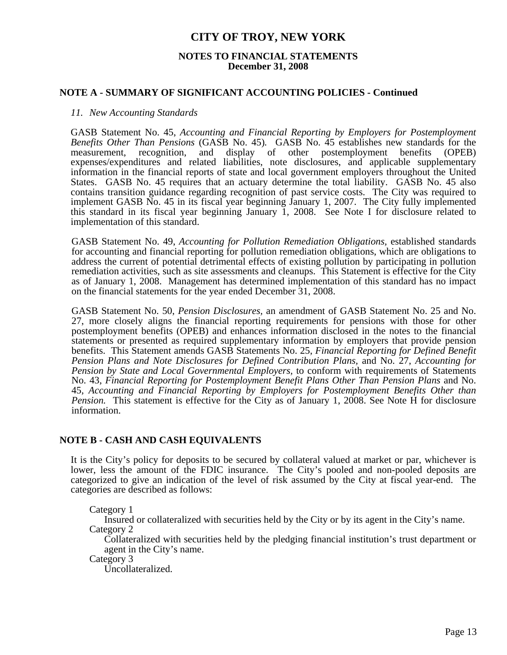#### **NOTES TO FINANCIAL STATEMENTS December 31, 2008**

#### **NOTE A - SUMMARY OF SIGNIFICANT ACCOUNTING POLICIES - Continued**

#### *11. New Accounting Standards*

GASB Statement No. 45, *Accounting and Financial Reporting by Employers for Postemployment Benefits Other Than Pensions* (GASB No. 45)*.* GASB No. 45 establishes new standards for the measurement, recognition, and display of other postemployment benefits (OPEB) expenses/expenditures and related liabilities, note disclosures, and applicable supplementary information in the financial reports of state and local government employers throughout the United States. GASB No. 45 requires that an actuary determine the total liability. GASB No. 45 also contains transition guidance regarding recognition of past service costs. The City was required to implement GASB No. 45 in its fiscal year beginning January 1, 2007. The City fully implemented this standard in its fiscal year beginning January 1, 2008. See Note I for disclosure related to implementation of this standard.

 GASB Statement No. 49, *Accounting for Pollution Remediation Obligations,* established standards for accounting and financial reporting for pollution remediation obligations, which are obligations to address the current of potential detrimental effects of existing pollution by participating in pollution remediation activities, such as site assessments and cleanups. This Statement is effective for the City as of January 1, 2008. Management has determined implementation of this standard has no impact on the financial statements for the year ended December 31, 2008.

 GASB Statement No. 50, *Pension Disclosures,* an amendment of GASB Statement No. 25 and No. 27, more closely aligns the financial reporting requirements for pensions with those for other postemployment benefits (OPEB) and enhances information disclosed in the notes to the financial statements or presented as required supplementary information by employers that provide pension benefits. This Statement amends GASB Statements No. 25, *Financial Reporting for Defined Benefit Pension Plans and Note Disclosures for Defined Contribution Plans,* and No. 27, *Accounting for Pension by State and Local Governmental Employers,* to conform with requirements of Statements No. 43, *Financial Reporting for Postemployment Benefit Plans Other Than Pension Plans* and No. 45, *Accounting and Financial Reporting by Employers for Postemployment Benefits Other than Pension.* This statement is effective for the City as of January 1, 2008. See Note H for disclosure information.

#### **NOTE B - CASH AND CASH EQUIVALENTS**

 It is the City's policy for deposits to be secured by collateral valued at market or par, whichever is lower, less the amount of the FDIC insurance. The City's pooled and non-pooled deposits are categorized to give an indication of the level of risk assumed by the City at fiscal year-end. The categories are described as follows:

Category 1

 Insured or collateralized with securities held by the City or by its agent in the City's name. Category 2

 Collateralized with securities held by the pledging financial institution's trust department or agent in the City's name.

Category 3

Uncollateralized.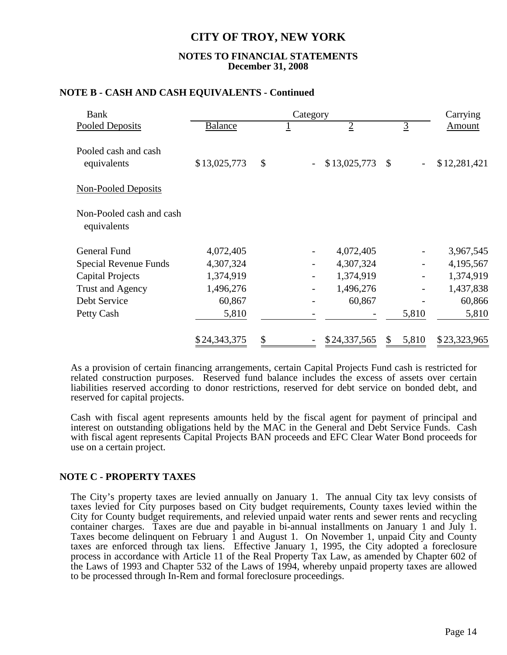#### **NOTES TO FINANCIAL STATEMENTS December 31, 2008**

|  |  |  | NOTE B - CASH AND CASH EQUIVALENTS - Continued |
|--|--|--|------------------------------------------------|
|--|--|--|------------------------------------------------|

| <b>Bank</b>                             | Category       |    |                |  |                |    |                | Carrying     |  |  |
|-----------------------------------------|----------------|----|----------------|--|----------------|----|----------------|--------------|--|--|
| <b>Pooled Deposits</b>                  | <b>Balance</b> |    | $\overline{1}$ |  | $\overline{2}$ |    | $\overline{3}$ | Amount       |  |  |
| Pooled cash and cash<br>equivalents     | \$13,025,773   | \$ |                |  | \$13,025,773   | \$ |                | \$12,281,421 |  |  |
| <b>Non-Pooled Deposits</b>              |                |    |                |  |                |    |                |              |  |  |
| Non-Pooled cash and cash<br>equivalents |                |    |                |  |                |    |                |              |  |  |
| <b>General Fund</b>                     | 4,072,405      |    |                |  | 4,072,405      |    |                | 3,967,545    |  |  |
| Special Revenue Funds                   | 4,307,324      |    |                |  | 4,307,324      |    |                | 4,195,567    |  |  |
| <b>Capital Projects</b>                 | 1,374,919      |    |                |  | 1,374,919      |    |                | 1,374,919    |  |  |
| Trust and Agency                        | 1,496,276      |    |                |  | 1,496,276      |    |                | 1,437,838    |  |  |
| Debt Service                            | 60,867         |    |                |  | 60,867         |    |                | 60,866       |  |  |
| Petty Cash                              | 5,810          |    |                |  |                |    | 5,810          | 5,810        |  |  |
|                                         | \$24,343,375   | \$ |                |  | \$24,337,565   | \$ | 5,810          | \$23,323,965 |  |  |

 As a provision of certain financing arrangements, certain Capital Projects Fund cash is restricted for related construction purposes. Reserved fund balance includes the excess of assets over certain liabilities reserved according to donor restrictions, reserved for debt service on bonded debt, and reserved for capital projects.

 Cash with fiscal agent represents amounts held by the fiscal agent for payment of principal and interest on outstanding obligations held by the MAC in the General and Debt Service Funds. Cash with fiscal agent represents Capital Projects BAN proceeds and EFC Clear Water Bond proceeds for use on a certain project.

### **NOTE C - PROPERTY TAXES**

 The City's property taxes are levied annually on January 1. The annual City tax levy consists of taxes levied for City purposes based on City budget requirements, County taxes levied within the City for County budget requirements, and relevied unpaid water rents and sewer rents and recycling container charges. Taxes are due and payable in bi-annual installments on January 1 and July 1. Taxes become delinquent on February 1 and August 1. On November 1, unpaid City and County taxes are enforced through tax liens. Effective January 1, 1995, the City adopted a foreclosure process in accordance with Article 11 of the Real Property Tax Law, as amended by Chapter 602 of the Laws of 1993 and Chapter 532 of the Laws of 1994, whereby unpaid property taxes are allowed to be processed through In-Rem and formal foreclosure proceedings.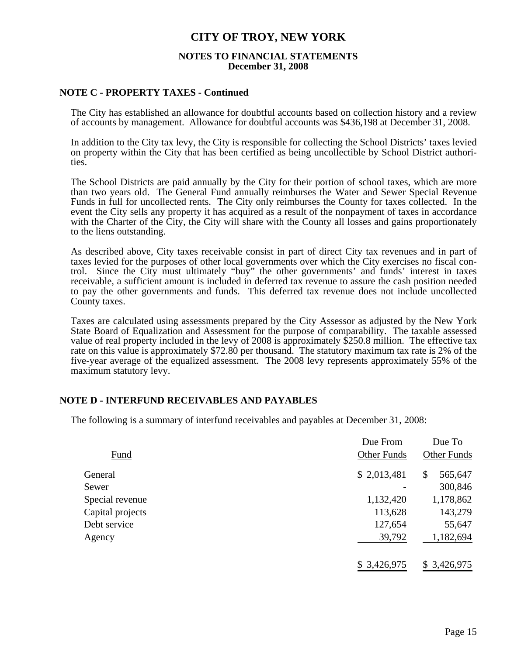#### **NOTES TO FINANCIAL STATEMENTS December 31, 2008**

#### **NOTE C - PROPERTY TAXES - Continued**

 The City has established an allowance for doubtful accounts based on collection history and a review of accounts by management. Allowance for doubtful accounts was \$436,198 at December 31, 2008.

 In addition to the City tax levy, the City is responsible for collecting the School Districts' taxes levied on property within the City that has been certified as being uncollectible by School District authorities.

 The School Districts are paid annually by the City for their portion of school taxes, which are more than two years old. The General Fund annually reimburses the Water and Sewer Special Revenue Funds in full for uncollected rents. The City only reimburses the County for taxes collected. In the event the City sells any property it has acquired as a result of the nonpayment of taxes in accordance with the Charter of the City, the City will share with the County all losses and gains proportionately to the liens outstanding.

 As described above, City taxes receivable consist in part of direct City tax revenues and in part of taxes levied for the purposes of other local governments over which the City exercises no fiscal control. Since the City must ultimately "buy" the other governments' and funds' interest in taxes receivable, a sufficient amount is included in deferred tax revenue to assure the cash position needed to pay the other governments and funds. This deferred tax revenue does not include uncollected County taxes.

 Taxes are calculated using assessments prepared by the City Assessor as adjusted by the New York State Board of Equalization and Assessment for the purpose of comparability. The taxable assessed value of real property included in the levy of 2008 is approximately \$250.8 million. The effective tax rate on this value is approximately \$72.80 per thousand. The statutory maximum tax rate is 2% of the five-year average of the equalized assessment. The 2008 levy represents approximately 55% of the maximum statutory levy.

### **NOTE D - INTERFUND RECEIVABLES AND PAYABLES**

The following is a summary of interfund receivables and payables at December 31, 2008:

|                  | Due From           | Due To             |
|------------------|--------------------|--------------------|
| Fund             | <b>Other Funds</b> | <b>Other Funds</b> |
| General          | \$2,013,481        | \$<br>565,647      |
| Sewer            |                    | 300,846            |
| Special revenue  | 1,132,420          | 1,178,862          |
| Capital projects | 113,628            | 143,279            |
| Debt service     | 127,654            | 55,647             |
| Agency           | 39,792             | 1,182,694          |
|                  | \$3,426,975        | \$3,426,975        |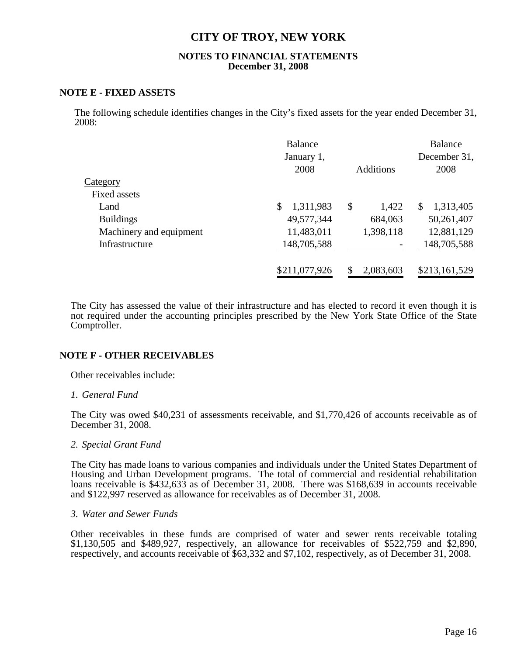#### **NOTES TO FINANCIAL STATEMENTS December 31, 2008**

#### **NOTE E - FIXED ASSETS**

The following schedule identifies changes in the City's fixed assets for the year ended December 31, 2008:

|                         | <b>Balance</b><br>January 1,<br>2008 | <b>Additions</b> | <b>Balance</b><br>December 31,<br>2008 |
|-------------------------|--------------------------------------|------------------|----------------------------------------|
| Category                |                                      |                  |                                        |
| Fixed assets            |                                      |                  |                                        |
| Land                    | 1,311,983                            | \$<br>1,422      | 1,313,405<br>\$                        |
| <b>Buildings</b>        | 49,577,344                           | 684,063          | 50,261,407                             |
| Machinery and equipment | 11,483,011                           | 1,398,118        | 12,881,129                             |
| Infrastructure          | 148,705,588                          |                  | 148,705,588                            |
|                         | \$211,077,926                        | 2,083,603<br>S   | \$213,161,529                          |

The City has assessed the value of their infrastructure and has elected to record it even though it is not required under the accounting principles prescribed by the New York State Office of the State Comptroller.

### **NOTE F - OTHER RECEIVABLES**

Other receivables include:

#### *1. General Fund*

 The City was owed \$40,231 of assessments receivable, and \$1,770,426 of accounts receivable as of December 31, 2008.

#### *2. Special Grant Fund*

 The City has made loans to various companies and individuals under the United States Department of Housing and Urban Development programs. The total of commercial and residential rehabilitation loans receivable is \$432,633 as of December 31, 2008. There was \$168,639 in accounts receivable and \$122,997 reserved as allowance for receivables as of December 31, 2008.

#### *3. Water and Sewer Funds*

Other receivables in these funds are comprised of water and sewer rents receivable totaling \$1,130,505 and \$489,927, respectively, an allowance for receivables of \$522,759 and \$2,890, respectively, and accounts receivable of \$63,332 and \$7,102, respectively, as of December 31, 2008.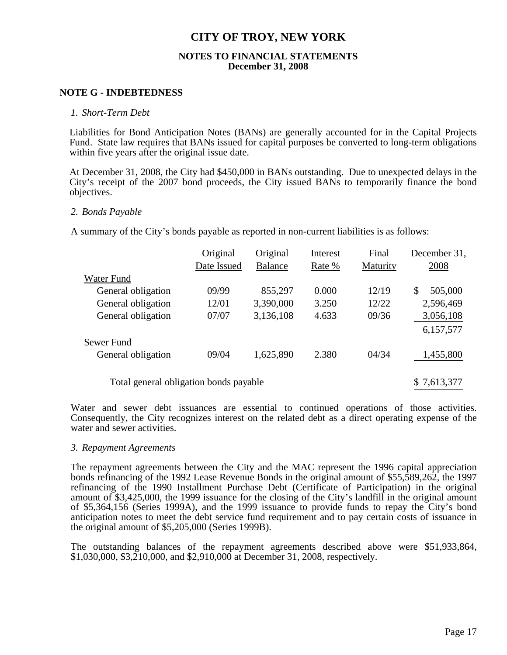#### **NOTES TO FINANCIAL STATEMENTS December 31, 2008**

#### **NOTE G - INDEBTEDNESS**

#### *1. Short-Term Debt*

 Liabilities for Bond Anticipation Notes (BANs) are generally accounted for in the Capital Projects Fund. State law requires that BANs issued for capital purposes be converted to long-term obligations within five years after the original issue date.

 At December 31, 2008, the City had \$450,000 in BANs outstanding. Due to unexpected delays in the City's receipt of the 2007 bond proceeds, the City issued BANs to temporarily finance the bond objectives.

#### *2. Bonds Payable*

A summary of the City's bonds payable as reported in non-current liabilities is as follows:

|                                        | Original    | Original       | Interest | Final    | December 31, |
|----------------------------------------|-------------|----------------|----------|----------|--------------|
|                                        | Date Issued | <b>Balance</b> | Rate %   | Maturity | 2008         |
| Water Fund                             |             |                |          |          |              |
| General obligation                     | 09/99       | 855,297        | 0.000    | 12/19    | S<br>505,000 |
| General obligation                     | 12/01       | 3,390,000      | 3.250    | 12/22    | 2,596,469    |
| General obligation                     | 07/07       | 3,136,108      | 4.633    | 09/36    | 3,056,108    |
|                                        |             |                |          |          | 6,157,577    |
| Sewer Fund                             |             |                |          |          |              |
| General obligation                     | 09/04       | 1,625,890      | 2.380    | 04/34    | 1,455,800    |
| Total general obligation bonds payable |             |                |          |          | \$7,613,377  |

Water and sewer debt issuances are essential to continued operations of those activities. Consequently, the City recognizes interest on the related debt as a direct operating expense of the water and sewer activities.

#### *3. Repayment Agreements*

The repayment agreements between the City and the MAC represent the 1996 capital appreciation bonds refinancing of the 1992 Lease Revenue Bonds in the original amount of \$55,589,262, the 1997 refinancing of the 1990 Installment Purchase Debt (Certificate of Participation) in the original amount of \$3,425,000, the 1999 issuance for the closing of the City's landfill in the original amount of \$5,364,156 (Series 1999A), and the 1999 issuance to provide funds to repay the City's bond anticipation notes to meet the debt service fund requirement and to pay certain costs of issuance in the original amount of \$5,205,000 (Series 1999B).

 The outstanding balances of the repayment agreements described above were \$51,933,864, \$1,030,000, \$3,210,000, and \$2,910,000 at December 31, 2008, respectively.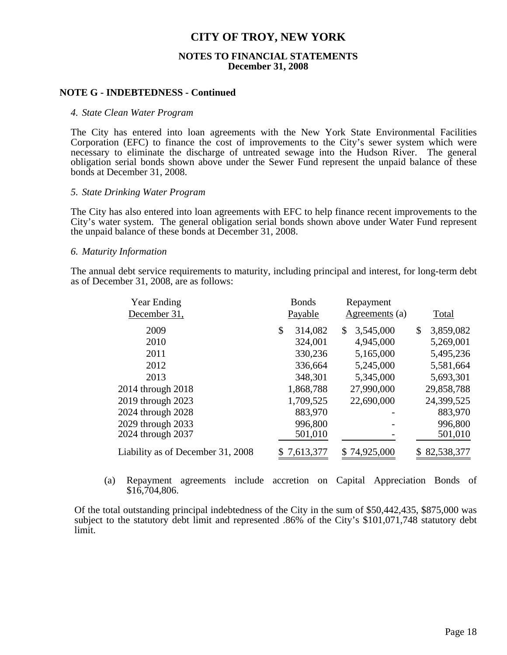#### **NOTES TO FINANCIAL STATEMENTS December 31, 2008**

#### **NOTE G - INDEBTEDNESS - Continued**

#### *4. State Clean Water Program*

The City has entered into loan agreements with the New York State Environmental Facilities Corporation (EFC) to finance the cost of improvements to the City's sewer system which were necessary to eliminate the discharge of untreated sewage into the Hudson River. The general obligation serial bonds shown above under the Sewer Fund represent the unpaid balance of these bonds at December 31, 2008.

#### *5. State Drinking Water Program*

The City has also entered into loan agreements with EFC to help finance recent improvements to the City's water system. The general obligation serial bonds shown above under Water Fund represent the unpaid balance of these bonds at December 31, 2008.

#### *6. Maturity Information*

The annual debt service requirements to maturity, including principal and interest, for long-term debt as of December 31, 2008, are as follows:

| <b>Year Ending</b><br>December 31, | <b>Bonds</b><br>Payable | Repayment<br>Agreements (a) | Total           |
|------------------------------------|-------------------------|-----------------------------|-----------------|
| 2009                               | \$<br>314,082           | \$<br>3,545,000             | \$<br>3,859,082 |
| 2010                               | 324,001                 | 4,945,000                   | 5,269,001       |
| 2011                               | 330,236                 | 5,165,000                   | 5,495,236       |
| 2012                               | 336,664                 | 5,245,000                   | 5,581,664       |
| 2013                               | 348,301                 | 5,345,000                   | 5,693,301       |
| 2014 through 2018                  | 1,868,788               | 27,990,000                  | 29,858,788      |
| 2019 through 2023                  | 1,709,525               | 22,690,000                  | 24,399,525      |
| 2024 through 2028                  | 883,970                 |                             | 883,970         |
| 2029 through 2033                  | 996,800                 |                             | 996,800         |
| 2024 through 2037                  | 501,010                 |                             | 501,010         |
| Liability as of December 31, 2008  | 7,613,377               | \$74,925,000                | 82,538,377      |

(a) Repayment agreements include accretion on Capital Appreciation Bonds of \$16,704,806.

Of the total outstanding principal indebtedness of the City in the sum of \$50,442,435, \$875,000 was subject to the statutory debt limit and represented .86% of the City's \$101,071,748 statutory debt limit.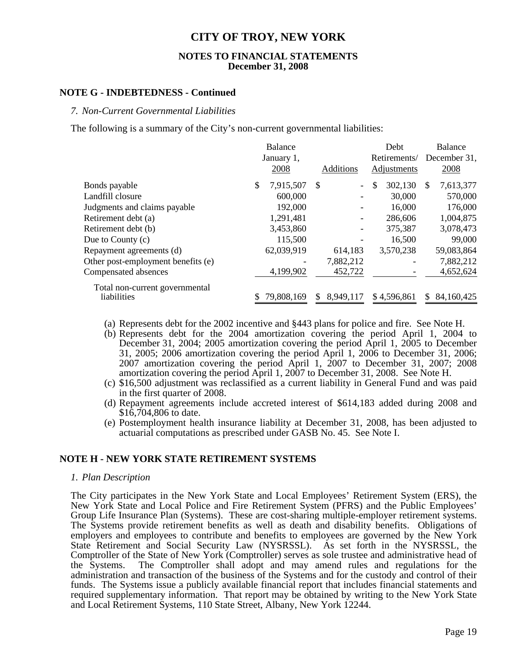#### **NOTES TO FINANCIAL STATEMENTS December 31, 2008**

#### **NOTE G - INDEBTEDNESS - Continued**

#### *7. Non-Current Governmental Liabilities*

The following is a summary of the City's non-current governmental liabilities:

|                                    | <b>Balance</b>             |                  | Debt          | <b>Balance</b>   |
|------------------------------------|----------------------------|------------------|---------------|------------------|
|                                    | January 1,                 |                  | Retirements/  | December 31,     |
|                                    | 2008                       | Additions        | Adjustments   | 2008             |
| Bonds payable                      | 7,915,507<br><sup>\$</sup> | -S               | \$<br>302,130 | 7,613,377<br>S   |
| Landfill closure                   | 600,000                    |                  | 30,000        | 570,000          |
| Judgments and claims payable       | 192,000                    |                  | 16,000        | 176,000          |
| Retirement debt (a)                | 1,291,481                  |                  | 286,606       | 1,004,875        |
| Retirement debt (b)                | 3,453,860                  |                  | 375,387       | 3,078,473        |
| Due to County $(c)$                | 115,500                    |                  | 16,500        | 99,000           |
| Repayment agreements (d)           | 62,039,919                 | 614,183          | 3,570,238     | 59,083,864       |
| Other post-employment benefits (e) |                            | 7,882,212        |               | 7,882,212        |
| Compensated absences               | 4,199,902                  | 452,722          |               | 4,652,624        |
| Total non-current governmental     |                            |                  |               |                  |
| liabilities                        | 79,808,169                 | 8,949,117<br>\$. | \$4,596,861   | 84,160,425<br>S. |

- (a) Represents debt for the 2002 incentive and §443 plans for police and fire. See Note H.
- (b) Represents debt for the 2004 amortization covering the period April 1, 2004 to December 31, 2004; 2005 amortization covering the period April 1, 2005 to December 31, 2005; 2006 amortization covering the period April 1, 2006 to December 31, 2006; 2007 amortization covering the period April 1, 2007 to December 31, 2007; 2008 amortization covering the period April 1, 2007 to December 31, 2008. See Note H.
- (c) \$16,500 adjustment was reclassified as a current liability in General Fund and was paid in the first quarter of 2008.
- (d) Repayment agreements include accreted interest of \$614,183 added during 2008 and \$16,704,806 to date.
- (e) Postemployment health insurance liability at December 31, 2008, has been adjusted to actuarial computations as prescribed under GASB No. 45. See Note I.

#### **NOTE H - NEW YORK STATE RETIREMENT SYSTEMS**

#### *1. Plan Description*

 The City participates in the New York State and Local Employees' Retirement System (ERS), the New York State and Local Police and Fire Retirement System (PFRS) and the Public Employees' Group Life Insurance Plan (Systems). These are cost-sharing multiple-employer retirement systems. The Systems provide retirement benefits as well as death and disability benefits. Obligations of employers and employees to contribute and benefits to employees are governed by the New York State Retirement and Social Security Law (NYSRSSL). As set forth in the NYSRSSL, the Comptroller of the State of New York (Comptroller) serves as sole trustee and administrative head of the Systems. The Comptroller shall adopt and may amend rules and regulations for the administration and transaction of the business of the Systems and for the custody and control of their funds. The Systems issue a publicly available financial report that includes financial statements and required supplementary information. That report may be obtained by writing to the New York State and Local Retirement Systems, 110 State Street, Albany, New York 12244.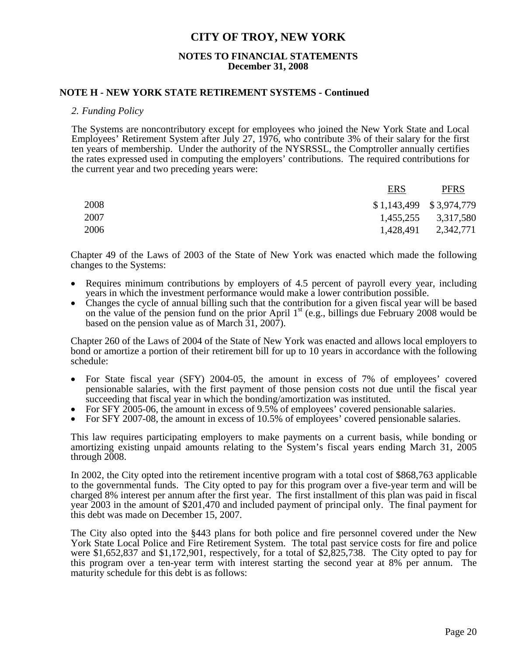#### **NOTES TO FINANCIAL STATEMENTS December 31, 2008**

#### **NOTE H - NEW YORK STATE RETIREMENT SYSTEMS - Continued**

#### *2. Funding Policy*

The Systems are noncontributory except for employees who joined the New York State and Local Employees' Retirement System after July 27, 1976, who contribute 3% of their salary for the first ten years of membership. Under the authority of the NYSRSSL, the Comptroller annually certifies the rates expressed used in computing the employers' contributions. The required contributions for the current year and two preceding years were:

|      | <b>ERS</b>                | <b>PFRS</b>         |
|------|---------------------------|---------------------|
| 2008 | $$1,143,499$ $$3,974,779$ |                     |
| 2007 |                           | 1,455,255 3,317,580 |
| 2006 | 1,428,491                 | 2,342,771           |

Chapter 49 of the Laws of 2003 of the State of New York was enacted which made the following changes to the Systems:

- Requires minimum contributions by employers of 4.5 percent of payroll every year, including years in which the investment performance would make a lower contribution possible.
- Changes the cycle of annual billing such that the contribution for a given fiscal year will be based on the value of the pension fund on the prior April  $1<sup>st</sup>$  (e.g., billings due February 2008 would be based on the pension value as of March 31, 2007).

Chapter 260 of the Laws of 2004 of the State of New York was enacted and allows local employers to bond or amortize a portion of their retirement bill for up to 10 years in accordance with the following schedule:

- For State fiscal year (SFY) 2004-05, the amount in excess of 7% of employees' covered pensionable salaries, with the first payment of those pension costs not due until the fiscal year succeeding that fiscal year in which the bonding/amortization was instituted.
- For SFY 2005-06, the amount in excess of 9.5% of employees' covered pensionable salaries.
- For SFY 2007-08, the amount in excess of 10.5% of employees' covered pensionable salaries.

This law requires participating employers to make payments on a current basis, while bonding or amortizing existing unpaid amounts relating to the System's fiscal years ending March 31, 2005 through 2008.

In 2002, the City opted into the retirement incentive program with a total cost of \$868,763 applicable to the governmental funds. The City opted to pay for this program over a five-year term and will be charged 8% interest per annum after the first year. The first installment of this plan was paid in fiscal year 2003 in the amount of \$201,470 and included payment of principal only. The final payment for this debt was made on December 15, 2007.

The City also opted into the §443 plans for both police and fire personnel covered under the New York State Local Police and Fire Retirement System. The total past service costs for fire and police were \$1,652,837 and \$1,172,901, respectively, for a total of \$2,825,738. The City opted to pay for this program over a ten-year term with interest starting the second year at 8% per annum. The maturity schedule for this debt is as follows: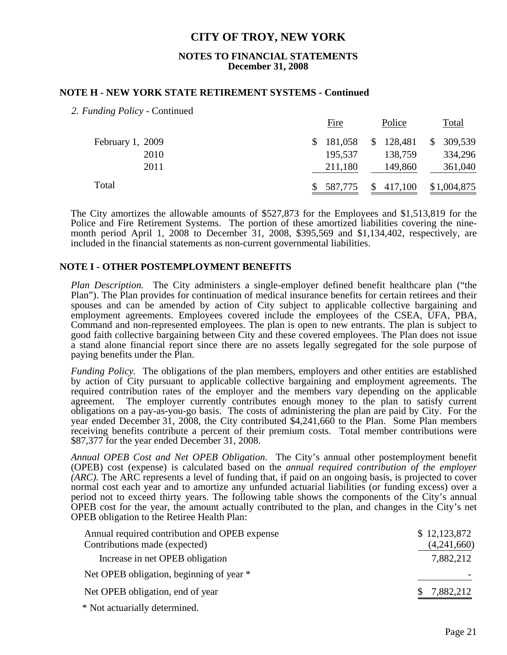#### **NOTES TO FINANCIAL STATEMENTS December 31, 2008**

#### **NOTE H - NEW YORK STATE RETIREMENT SYSTEMS - Continued**

 *2. Funding Policy* - Continued

|                  | Fire       | Police    | <u>Total</u>              |
|------------------|------------|-----------|---------------------------|
| February 1, 2009 | \$181,058  | \$128,481 | 309,539<br>$\mathbb{S}^-$ |
| 2010             | 195,537    | 138,759   | 334,296                   |
| 2011             | 211,180    | 149,860   | 361,040                   |
| Total            | \$ 587,775 | \$417,100 | \$1,004,875               |

 The City amortizes the allowable amounts of \$527,873 for the Employees and \$1,513,819 for the Police and Fire Retirement Systems. The portion of these amortized liabilities covering the ninemonth period April 1, 2008 to December 31, 2008, \$395,569 and \$1,134,402, respectively, are included in the financial statements as non-current governmental liabilities.

#### **NOTE I - OTHER POSTEMPLOYMENT BENEFITS**

*Plan Description.* The City administers a single-employer defined benefit healthcare plan ("the Plan"). The Plan provides for continuation of medical insurance benefits for certain retirees and their spouses and can be amended by action of City subject to applicable collective bargaining and employment agreements. Employees covered include the employees of the CSEA, UFA, PBA, Command and non-represented employees. The plan is open to new entrants. The plan is subject to good faith collective bargaining between City and these covered employees. The Plan does not issue a stand alone financial report since there are no assets legally segregated for the sole purpose of paying benefits under the Plan.

*Funding Policy.* The obligations of the plan members, employers and other entities are established by action of City pursuant to applicable collective bargaining and employment agreements. The required contribution rates of the employer and the members vary depending on the applicable agreement. The employer currently contributes enough money to the plan to satisfy current obligations on a pay-as-you-go basis. The costs of administering the plan are paid by City. For the year ended December 31, 2008, the City contributed \$4,241,660 to the Plan. Some Plan members receiving benefits contribute a percent of their premium costs. Total member contributions were \$87,377 for the year ended December 31, 2008.

*Annual OPEB Cost and Net OPEB Obligation.* The City's annual other postemployment benefit (OPEB) cost (expense) is calculated based on the *annual required contribution of the employer (ARC).* The ARC represents a level of funding that, if paid on an ongoing basis, is projected to cover normal cost each year and to amortize any unfunded actuarial liabilities (or funding excess) over a period not to exceed thirty years. The following table shows the components of the City's annual OPEB cost for the year, the amount actually contributed to the plan, and changes in the City's net OPEB obligation to the Retiree Health Plan:

| Annual required contribution and OPEB expense | \$12,123,872 |
|-----------------------------------------------|--------------|
| Contributions made (expected)                 | (4,241,660)  |
| Increase in net OPEB obligation               | 7,882,212    |
| Net OPEB obligation, beginning of year *      |              |
| Net OPEB obligation, end of year              | 7,882,212    |
| * Not actuarially determined.                 |              |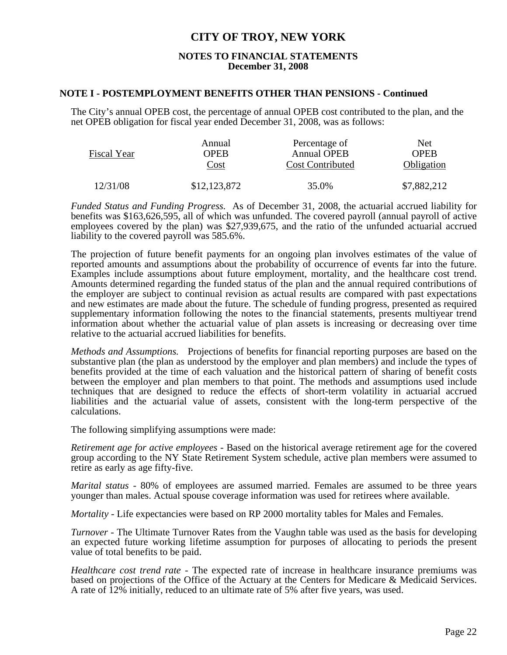#### **NOTES TO FINANCIAL STATEMENTS December 31, 2008**

#### **NOTE I - POSTEMPLOYMENT BENEFITS OTHER THAN PENSIONS - Continued**

The City's annual OPEB cost, the percentage of annual OPEB cost contributed to the plan, and the net OPEB obligation for fiscal year ended December 31, 2008, was as follows:

| Fiscal Year | Annual       | Percentage of           | <b>Net</b>  |  |
|-------------|--------------|-------------------------|-------------|--|
|             | <b>OPER</b>  | <b>Annual OPEB</b>      | <b>OPER</b> |  |
|             | Cost         | <b>Cost Contributed</b> | Obligation  |  |
| 12/31/08    | \$12,123,872 | 35.0%                   | \$7,882,212 |  |

*Funded Status and Funding Progress.* As of December 31, 2008, the actuarial accrued liability for benefits was \$163,626,595, all of which was unfunded. The covered payroll (annual payroll of active employees covered by the plan) was \$27,939,675, and the ratio of the unfunded actuarial accrued liability to the covered payroll was 585.6%.

The projection of future benefit payments for an ongoing plan involves estimates of the value of reported amounts and assumptions about the probability of occurrence of events far into the future. Examples include assumptions about future employment, mortality, and the healthcare cost trend. Amounts determined regarding the funded status of the plan and the annual required contributions of the employer are subject to continual revision as actual results are compared with past expectations and new estimates are made about the future. The schedule of funding progress, presented as required supplementary information following the notes to the financial statements, presents multiyear trend information about whether the actuarial value of plan assets is increasing or decreasing over time relative to the actuarial accrued liabilities for benefits.

*Methods and Assumptions.* Projections of benefits for financial reporting purposes are based on the substantive plan (the plan as understood by the employer and plan members) and include the types of benefits provided at the time of each valuation and the historical pattern of sharing of benefit costs between the employer and plan members to that point. The methods and assumptions used include techniques that are designed to reduce the effects of short-term volatility in actuarial accrued liabilities and the actuarial value of assets, consistent with the long-term perspective of the calculations.

The following simplifying assumptions were made:

*Retirement age for active employees -* Based on the historical average retirement age for the covered group according to the NY State Retirement System schedule, active plan members were assumed to retire as early as age fifty-five.

*Marital status -* 80% of employees are assumed married. Females are assumed to be three years younger than males. Actual spouse coverage information was used for retirees where available.

*Mortality - Life expectancies were based on RP 2000 mortality tables for Males and Females.* 

*Turnover* - The Ultimate Turnover Rates from the Vaughn table was used as the basis for developing an expected future working lifetime assumption for purposes of allocating to periods the present value of total benefits to be paid.

*Healthcare cost trend rate -* The expected rate of increase in healthcare insurance premiums was based on projections of the Office of the Actuary at the Centers for Medicare & Medicaid Services. A rate of 12% initially, reduced to an ultimate rate of 5% after five years, was used.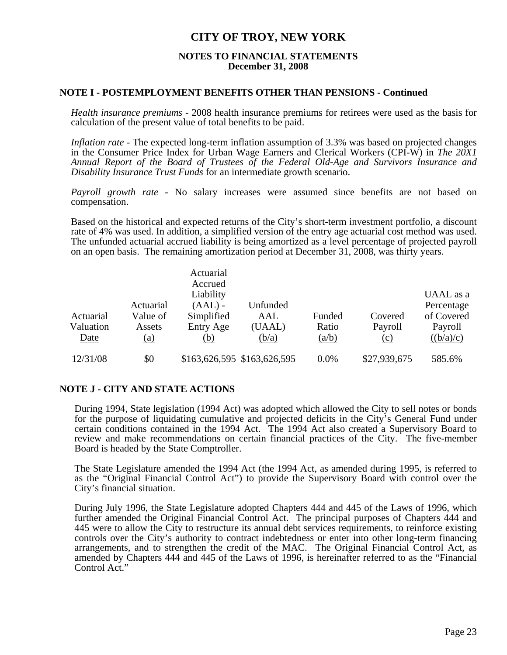#### **NOTES TO FINANCIAL STATEMENTS December 31, 2008**

#### **NOTE I - POSTEMPLOYMENT BENEFITS OTHER THAN PENSIONS - Continued**

*Health insurance premiums -* 2008 health insurance premiums for retirees were used as the basis for calculation of the present value of total benefits to be paid.

*Inflation rate -* The expected long-term inflation assumption of 3.3% was based on projected changes in the Consumer Price Index for Urban Wage Earners and Clerical Workers (CPI-W) in *The 20X1 Annual Report of the Board of Trustees of the Federal Old-Age and Survivors Insurance and Disability Insurance Trust Funds* for an intermediate growth scenario.

*Payroll growth rate -* No salary increases were assumed since benefits are not based on compensation.

Based on the historical and expected returns of the City's short-term investment portfolio, a discount rate of 4% was used. In addition, a simplified version of the entry age actuarial cost method was used. The unfunded actuarial accrued liability is being amortized as a level percentage of projected payroll on an open basis. The remaining amortization period at December 31, 2008, was thirty years.

|                   |                       | Actuarial<br>Accrued    |                             |                |                |                          |
|-------------------|-----------------------|-------------------------|-----------------------------|----------------|----------------|--------------------------|
|                   |                       | Liability               |                             |                |                | UAAL as a                |
| Actuarial         | Actuarial<br>Value of | $(AAL)$ -<br>Simplified | Unfunded<br>AAL             | Funded         | Covered        | Percentage<br>of Covered |
| Valuation<br>Date | Assets<br>(a)         | Entry Age<br>(b)        | (UAAL)<br>(b/a)             | Ratio<br>(a/b) | Payroll<br>(c) | Payroll<br>((b/a)/c)     |
|                   |                       |                         |                             |                |                |                          |
| 12/31/08          | \$0                   |                         | \$163,626,595 \$163,626,595 | 0.0%           | \$27,939,675   | 585.6%                   |

### **NOTE J - CITY AND STATE ACTIONS**

 During 1994, State legislation (1994 Act) was adopted which allowed the City to sell notes or bonds for the purpose of liquidating cumulative and projected deficits in the City's General Fund under certain conditions contained in the 1994 Act. The 1994 Act also created a Supervisory Board to review and make recommendations on certain financial practices of the City. The five-member Board is headed by the State Comptroller.

 The State Legislature amended the 1994 Act (the 1994 Act, as amended during 1995, is referred to as the "Original Financial Control Act") to provide the Supervisory Board with control over the City's financial situation.

 During July 1996, the State Legislature adopted Chapters 444 and 445 of the Laws of 1996, which further amended the Original Financial Control Act. The principal purposes of Chapters 444 and 445 were to allow the City to restructure its annual debt services requirements, to reinforce existing controls over the City's authority to contract indebtedness or enter into other long-term financing arrangements, and to strengthen the credit of the MAC. The Original Financial Control Act, as amended by Chapters 444 and 445 of the Laws of 1996, is hereinafter referred to as the "Financial Control Act."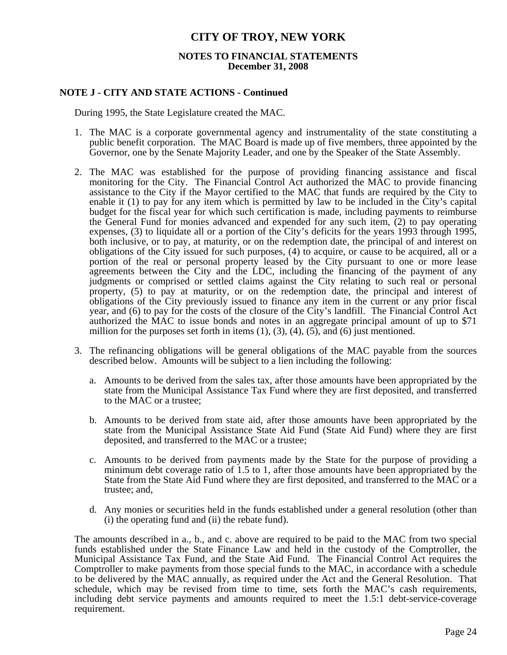#### **NOTES TO FINANCIAL STATEMENTS December 31, 2008**

#### **NOTE J - CITY AND STATE ACTIONS - Continued**

During 1995, the State Legislature created the MAC.

- 1. The MAC is a corporate governmental agency and instrumentality of the state constituting a public benefit corporation. The MAC Board is made up of five members, three appointed by the Governor, one by the Senate Majority Leader, and one by the Speaker of the State Assembly.
- 2. The MAC was established for the purpose of providing financing assistance and fiscal monitoring for the City. The Financial Control Act authorized the MAC to provide financing assistance to the City if the Mayor certified to the MAC that funds are required by the City to enable it (1) to pay for any item which is permitted by law to be included in the City's capital budget for the fiscal year for which such certification is made, including payments to reimburse the General Fund for monies advanced and expended for any such item, (2) to pay operating expenses, (3) to liquidate all or a portion of the City's deficits for the years 1993 through 1995, both inclusive, or to pay, at maturity, or on the redemption date, the principal of and interest on obligations of the City issued for such purposes, (4) to acquire, or cause to be acquired, all or a portion of the real or personal property leased by the City pursuant to one or more lease agreements between the City and the LDC, including the financing of the payment of any judgments or comprised or settled claims against the City relating to such real or personal property, (5) to pay at maturity, or on the redemption date, the principal and interest of obligations of the City previously issued to finance any item in the current or any prior fiscal year, and (6) to pay for the costs of the closure of the City's landfill. The Financial Control Act authorized the MAC to issue bonds and notes in an aggregate principal amount of up to \$71 million for the purposes set forth in items  $(1)$ ,  $(3)$ ,  $(4)$ ,  $(5)$ , and  $(6)$  just mentioned.
- 3. The refinancing obligations will be general obligations of the MAC payable from the sources described below. Amounts will be subject to a lien including the following:
	- a. Amounts to be derived from the sales tax, after those amounts have been appropriated by the state from the Municipal Assistance Tax Fund where they are first deposited, and transferred to the MAC or a trustee;
	- b. Amounts to be derived from state aid, after those amounts have been appropriated by the state from the Municipal Assistance State Aid Fund (State Aid Fund) where they are first deposited, and transferred to the MAC or a trustee;
	- c. Amounts to be derived from payments made by the State for the purpose of providing a minimum debt coverage ratio of 1.5 to 1, after those amounts have been appropriated by the State from the State Aid Fund where they are first deposited, and transferred to the MAC or a trustee; and,
	- d. Any monies or securities held in the funds established under a general resolution (other than (i) the operating fund and (ii) the rebate fund).

 The amounts described in a., b., and c. above are required to be paid to the MAC from two special funds established under the State Finance Law and held in the custody of the Comptroller, the Municipal Assistance Tax Fund, and the State Aid Fund. The Financial Control Act requires the Comptroller to make payments from those special funds to the MAC, in accordance with a schedule to be delivered by the MAC annually, as required under the Act and the General Resolution. That schedule, which may be revised from time to time, sets forth the MAC's cash requirements, including debt service payments and amounts required to meet the 1.5:1 debt-service-coverage requirement.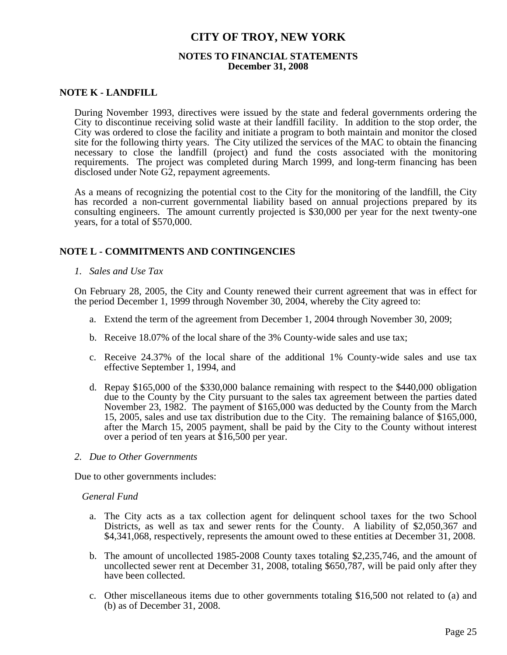#### **NOTES TO FINANCIAL STATEMENTS December 31, 2008**

#### **NOTE K - LANDFILL**

 During November 1993, directives were issued by the state and federal governments ordering the City to discontinue receiving solid waste at their landfill facility. In addition to the stop order, the City was ordered to close the facility and initiate a program to both maintain and monitor the closed site for the following thirty years. The City utilized the services of the MAC to obtain the financing necessary to close the landfill (project) and fund the costs associated with the monitoring requirements. The project was completed during March 1999, and long-term financing has been disclosed under Note G2, repayment agreements.

 As a means of recognizing the potential cost to the City for the monitoring of the landfill, the City has recorded a non-current governmental liability based on annual projections prepared by its consulting engineers. The amount currently projected is \$30,000 per year for the next twenty-one years, for a total of \$570,000.

#### **NOTE L - COMMITMENTS AND CONTINGENCIES**

 *1. Sales and Use Tax* 

 On February 28, 2005, the City and County renewed their current agreement that was in effect for the period December 1, 1999 through November 30, 2004, whereby the City agreed to:

- a. Extend the term of the agreement from December 1, 2004 through November 30, 2009;
- b. Receive 18.07% of the local share of the 3% County-wide sales and use tax;
- c. Receive 24.37% of the local share of the additional 1% County-wide sales and use tax effective September 1, 1994, and
- d. Repay \$165,000 of the \$330,000 balance remaining with respect to the \$440,000 obligation due to the County by the City pursuant to the sales tax agreement between the parties dated November 23, 1982. The payment of \$165,000 was deducted by the County from the March 15, 2005, sales and use tax distribution due to the City. The remaining balance of \$165,000, after the March 15, 2005 payment, shall be paid by the City to the County without interest over a period of ten years at \$16,500 per year.
- *2. Due to Other Governments*

Due to other governments includes:

#### *General Fund*

- a. The City acts as a tax collection agent for delinquent school taxes for the two School Districts, as well as tax and sewer rents for the County. A liability of \$2,050,367 and \$4,341,068, respectively, represents the amount owed to these entities at December 31, 2008.
- b. The amount of uncollected 1985-2008 County taxes totaling \$2,235,746, and the amount of uncollected sewer rent at December 31, 2008, totaling \$650,787, will be paid only after they have been collected.
- c. Other miscellaneous items due to other governments totaling \$16,500 not related to (a) and (b) as of December 31, 2008.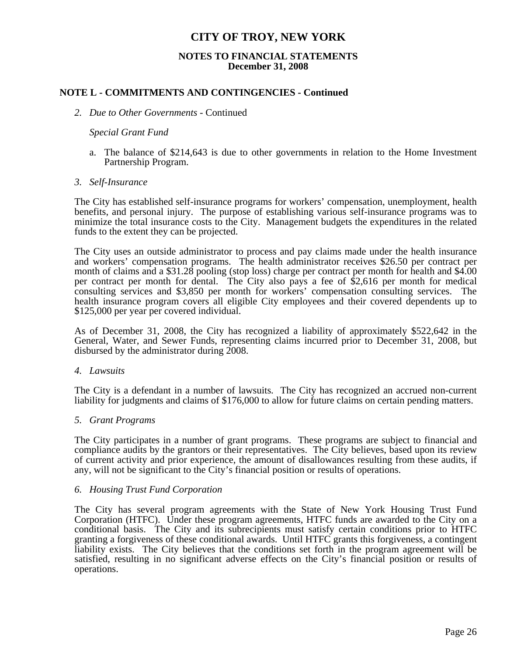#### **NOTES TO FINANCIAL STATEMENTS December 31, 2008**

### **NOTE L - COMMITMENTS AND CONTINGENCIES - Continued**

#### *2. Due to Other Governments* - Continued

#### *Special Grant Fund*

a. The balance of \$214,643 is due to other governments in relation to the Home Investment Partnership Program.

#### *3. Self-Insurance*

 The City has established self-insurance programs for workers' compensation, unemployment, health benefits, and personal injury. The purpose of establishing various self-insurance programs was to minimize the total insurance costs to the City. Management budgets the expenditures in the related funds to the extent they can be projected.

 The City uses an outside administrator to process and pay claims made under the health insurance and workers' compensation programs. The health administrator receives \$26.50 per contract per month of claims and a \$31.28 pooling (stop loss) charge per contract per month for health and \$4.00 per contract per month for dental. The City also pays a fee of \$2,616 per month for medical consulting services and \$3,850 per month for workers' compensation consulting services. The health insurance program covers all eligible City employees and their covered dependents up to \$125,000 per year per covered individual.

 As of December 31, 2008, the City has recognized a liability of approximately \$522,642 in the General, Water, and Sewer Funds, representing claims incurred prior to December 31, 2008, but disbursed by the administrator during 2008.

#### *4. Lawsuits*

 The City is a defendant in a number of lawsuits. The City has recognized an accrued non-current liability for judgments and claims of \$176,000 to allow for future claims on certain pending matters.

#### *5. Grant Programs*

 The City participates in a number of grant programs. These programs are subject to financial and compliance audits by the grantors or their representatives. The City believes, based upon its review of current activity and prior experience, the amount of disallowances resulting from these audits, if any, will not be significant to the City's financial position or results of operations.

#### *6. Housing Trust Fund Corporation*

 The City has several program agreements with the State of New York Housing Trust Fund Corporation (HTFC). Under these program agreements, HTFC funds are awarded to the City on a conditional basis. The City and its subrecipients must satisfy certain conditions prior to HTFC granting a forgiveness of these conditional awards. Until HTFC grants this forgiveness, a contingent liability exists. The City believes that the conditions set forth in the program agreement will be satisfied, resulting in no significant adverse effects on the City's financial position or results of operations.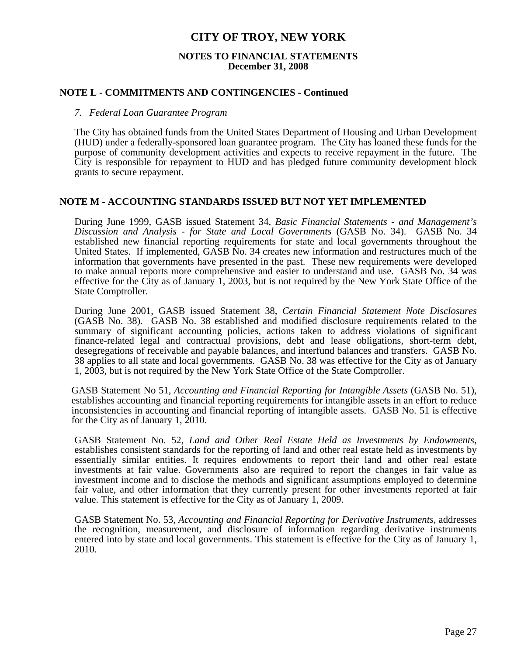#### **NOTES TO FINANCIAL STATEMENTS December 31, 2008**

#### **NOTE L - COMMITMENTS AND CONTINGENCIES - Continued**

#### *7. Federal Loan Guarantee Program*

 The City has obtained funds from the United States Department of Housing and Urban Development (HUD) under a federally-sponsored loan guarantee program. The City has loaned these funds for the purpose of community development activities and expects to receive repayment in the future. The City is responsible for repayment to HUD and has pledged future community development block grants to secure repayment.

#### **NOTE M - ACCOUNTING STANDARDS ISSUED BUT NOT YET IMPLEMENTED**

 During June 1999, GASB issued Statement 34, *Basic Financial Statements - and Management's Discussion and Analysis - for State and Local Governments* (GASB No. 34). GASB No. 34 established new financial reporting requirements for state and local governments throughout the United States. If implemented, GASB No. 34 creates new information and restructures much of the information that governments have presented in the past. These new requirements were developed to make annual reports more comprehensive and easier to understand and use. GASB No. 34 was effective for the City as of January 1, 2003, but is not required by the New York State Office of the State Comptroller.

 During June 2001, GASB issued Statement 38, *Certain Financial Statement Note Disclosures* (GASB No. 38). GASB No. 38 established and modified disclosure requirements related to the summary of significant accounting policies, actions taken to address violations of significant finance-related legal and contractual provisions, debt and lease obligations, short-term debt, desegregations of receivable and payable balances, and interfund balances and transfers. GASB No. 38 applies to all state and local governments. GASB No. 38 was effective for the City as of January 1, 2003, but is not required by the New York State Office of the State Comptroller.

GASB Statement No 51, *Accounting and Financial Reporting for Intangible Assets* (GASB No. 51), establishes accounting and financial reporting requirements for intangible assets in an effort to reduce inconsistencies in accounting and financial reporting of intangible assets. GASB No. 51 is effective for the City as of January 1, 2010.

GASB Statement No. 52, *Land and Other Real Estate Held as Investments by Endowments*, establishes consistent standards for the reporting of land and other real estate held as investments by essentially similar entities. It requires endowments to report their land and other real estate investments at fair value. Governments also are required to report the changes in fair value as investment income and to disclose the methods and significant assumptions employed to determine fair value, and other information that they currently present for other investments reported at fair value. This statement is effective for the City as of January 1, 2009.

GASB Statement No. 53, *Accounting and Financial Reporting for Derivative Instruments*, addresses the recognition, measurement, and disclosure of information regarding derivative instruments entered into by state and local governments. This statement is effective for the City as of January 1, 2010.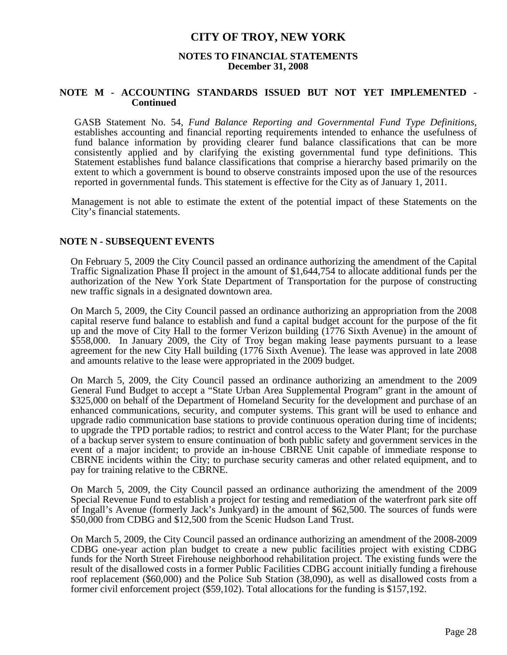#### **NOTES TO FINANCIAL STATEMENTS December 31, 2008**

#### **NOTE M - ACCOUNTING STANDARDS ISSUED BUT NOT YET IMPLEMENTED - Continued**

GASB Statement No. 54, *Fund Balance Reporting and Governmental Fund Type Definitions,* establishes accounting and financial reporting requirements intended to enhance the usefulness of fund balance information by providing clearer fund balance classifications that can be more consistently applied and by clarifying the existing governmental fund type definitions. This Statement establishes fund balance classifications that comprise a hierarchy based primarily on the extent to which a government is bound to observe constraints imposed upon the use of the resources reported in governmental funds. This statement is effective for the City as of January 1, 2011.

 Management is not able to estimate the extent of the potential impact of these Statements on the City's financial statements.

#### **NOTE N - SUBSEQUENT EVENTS**

On February 5, 2009 the City Council passed an ordinance authorizing the amendment of the Capital Traffic Signalization Phase II project in the amount of \$1,644,754 to allocate additional funds per the authorization of the New York State Department of Transportation for the purpose of constructing new traffic signals in a designated downtown area.

On March 5, 2009, the City Council passed an ordinance authorizing an appropriation from the 2008 capital reserve fund balance to establish and fund a capital budget account for the purpose of the fit up and the move of City Hall to the former Verizon building (1776 Sixth Avenue) in the amount of \$558,000. In January 2009, the City of Troy began making lease payments pursuant to a lease agreement for the new City Hall building (1776 Sixth Avenue). The lease was approved in late 2008 and amounts relative to the lease were appropriated in the 2009 budget.

On March 5, 2009, the City Council passed an ordinance authorizing an amendment to the 2009 General Fund Budget to accept a "State Urban Area Supplemental Program" grant in the amount of \$325,000 on behalf of the Department of Homeland Security for the development and purchase of an enhanced communications, security, and computer systems. This grant will be used to enhance and upgrade radio communication base stations to provide continuous operation during time of incidents; to upgrade the TPD portable radios; to restrict and control access to the Water Plant; for the purchase of a backup server system to ensure continuation of both public safety and government services in the event of a major incident; to provide an in-house CBRNE Unit capable of immediate response to CBRNE incidents within the City; to purchase security cameras and other related equipment, and to pay for training relative to the CBRNE.

On March 5, 2009, the City Council passed an ordinance authorizing the amendment of the 2009 Special Revenue Fund to establish a project for testing and remediation of the waterfront park site off of Ingall's Avenue (formerly Jack's Junkyard) in the amount of \$62,500. The sources of funds were \$50,000 from CDBG and \$12,500 from the Scenic Hudson Land Trust.

On March 5, 2009, the City Council passed an ordinance authorizing an amendment of the 2008-2009 CDBG one-year action plan budget to create a new public facilities project with existing CDBG funds for the North Street Firehouse neighborhood rehabilitation project. The existing funds were the result of the disallowed costs in a former Public Facilities CDBG account initially funding a firehouse roof replacement (\$60,000) and the Police Sub Station (38,090), as well as disallowed costs from a former civil enforcement project (\$59,102). Total allocations for the funding is \$157,192.